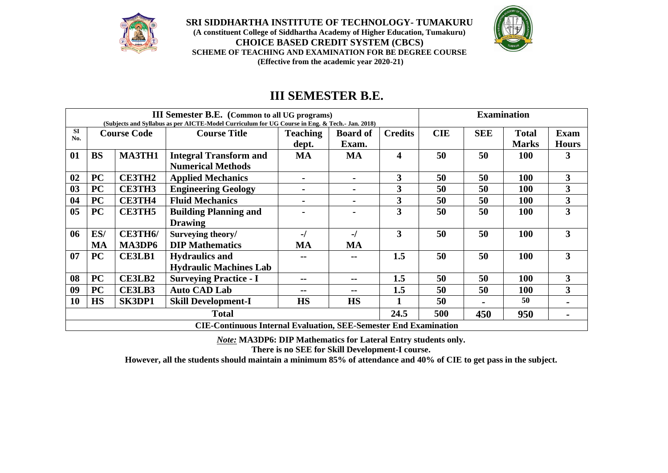

**SRI SIDDHARTHA INSTITUTE OF TECHNOLOGY- TUMAKURU (A constituent College of Siddhartha Academy of Higher Education, Tumakuru) CHOICE BASED CREDIT SYSTEM (CBCS) SCHEME OF TEACHING AND EXAMINATION FOR BE DEGREE COURSE (Effective from the academic year 2020-21)**



# **III SEMESTER B.E.**

| <b>III Semester B.E.</b> (Common to all UG programs) |                                           |                                      |                                                                                                |                             |                 |                         | <b>Examination</b> |              |              |                         |             |
|------------------------------------------------------|-------------------------------------------|--------------------------------------|------------------------------------------------------------------------------------------------|-----------------------------|-----------------|-------------------------|--------------------|--------------|--------------|-------------------------|-------------|
|                                                      |                                           |                                      | (Subjects and Syllabus as per AICTE-Model Curriculum for UG Course in Eng. & Tech.- Jan. 2018) |                             |                 |                         |                    |              |              |                         |             |
| <b>SI</b><br>No.                                     | <b>Course Code</b>                        |                                      | <b>Course Title</b>                                                                            |                             | <b>Teaching</b> | <b>Board of</b>         | <b>Credits</b>     | <b>CIE</b>   | <b>SEE</b>   | <b>Total</b>            | <b>Exam</b> |
|                                                      |                                           |                                      |                                                                                                | dept.                       | Exam.           |                         |                    |              | <b>Marks</b> | <b>Hours</b>            |             |
| 01                                                   | <b>BS</b>                                 | <b>MA3TH1</b>                        | <b>Integral Transform and</b>                                                                  | <b>MA</b>                   | <b>MA</b>       | $\overline{\mathbf{4}}$ | 50                 | 50           | <b>100</b>   | 3                       |             |
|                                                      |                                           |                                      | <b>Numerical Methods</b>                                                                       |                             |                 |                         |                    |              |              |                         |             |
| 02                                                   | <b>PC</b>                                 | <b>CE3TH2</b>                        | <b>Applied Mechanics</b>                                                                       | $\blacksquare$              | $\blacksquare$  | $\mathbf{3}$            | 50                 | 50           | 100          | $\overline{\mathbf{3}}$ |             |
| 03                                                   | <b>PC</b>                                 | <b>CE3TH3</b>                        | <b>Engineering Geology</b>                                                                     | $\blacksquare$              |                 | $\overline{\mathbf{3}}$ | 50                 | 50           | 100          | $\overline{\mathbf{3}}$ |             |
| 04                                                   | <b>PC</b>                                 | <b>CE3TH4</b>                        | <b>Fluid Mechanics</b>                                                                         | $\blacksquare$              | $\blacksquare$  | $\mathbf{3}$            | 50                 | 50           |              | $\mathbf{3}$            |             |
| 05                                                   | PC                                        | <b>CE3TH5</b>                        | <b>Building Planning and</b>                                                                   |                             |                 | 3                       | 50                 | 50           | 100          | $\overline{\mathbf{3}}$ |             |
|                                                      |                                           |                                      | <b>Drawing</b>                                                                                 |                             |                 |                         |                    |              |              |                         |             |
| 06                                                   | ES/                                       | <b>CE3TH6/</b>                       | Surveying theory/                                                                              | -/                          | -/              | 3                       | 50                 | 50           | 100          | $\overline{3}$          |             |
|                                                      | MA                                        | MA3DP6                               | <b>DIP</b> Mathematics                                                                         | <b>MA</b>                   | <b>MA</b>       |                         |                    |              |              |                         |             |
| 07                                                   | PC                                        | <b>CE3LB1</b>                        | <b>Hydraulics and</b>                                                                          |                             | --              | 1.5                     | 50                 | 50           | 100          | $\overline{3}$          |             |
|                                                      |                                           |                                      | <b>Hydraulic Machines Lab</b>                                                                  |                             |                 |                         |                    |              |              |                         |             |
| 08                                                   | <b>PC</b>                                 | <b>CE3LB2</b>                        | <b>Surveying Practice - I</b>                                                                  | --<br>--                    |                 | 1.5                     | 50                 | 50           | 100          | $\mathbf{3}$            |             |
| 09                                                   | <b>PC</b>                                 | CE3LB3                               | <b>Auto CAD Lab</b>                                                                            | 1.5<br>50<br>50<br>--<br>-- |                 |                         | 100                | $\mathbf{3}$ |              |                         |             |
| 10                                                   | <b>HS</b>                                 | SK3DP1<br><b>Skill Development-I</b> |                                                                                                | <b>HS</b>                   | <b>HS</b>       | $\mathbf{1}$            | 50                 |              | 50           |                         |             |
|                                                      | 24.5<br>500<br><b>Total</b><br>450<br>950 |                                      |                                                                                                |                             |                 |                         |                    |              |              |                         |             |
|                                                      |                                           |                                      | <b>CIE-Continuous Internal Evaluation, SEE-Semester End Examination</b>                        |                             |                 |                         |                    |              |              |                         |             |

*Note:* **MA3DP6: DIP Mathematics for Lateral Entry students only.**

**There is no SEE for Skill Development-I course.**

**However, all the students should maintain a minimum 85% of attendance and 40% of CIE to get pass in the subject.**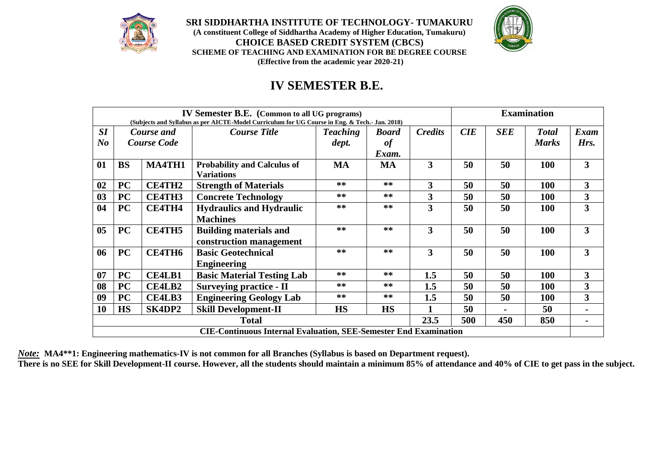

**SRI SIDDHARTHA INSTITUTE OF TECHNOLOGY- TUMAKURU (A constituent College of Siddhartha Academy of Higher Education, Tumakuru) CHOICE BASED CREDIT SYSTEM (CBCS) SCHEME OF TEACHING AND EXAMINATION FOR BE DEGREE COURSE (Effective from the academic year 2020-21)**



# **IV SEMESTER B.E.**

| <b>IV Semester B.E.</b> (Common to all UG programs)                     |                                                                                                |                    |                                                   |                    |              |                | <b>Examination</b> |                |              |                         |
|-------------------------------------------------------------------------|------------------------------------------------------------------------------------------------|--------------------|---------------------------------------------------|--------------------|--------------|----------------|--------------------|----------------|--------------|-------------------------|
|                                                                         | (Subjects and Syllabus as per AICTE-Model Curriculum for UG Course in Eng. & Tech.- Jan. 2018) |                    |                                                   |                    |              |                |                    |                |              |                         |
| SI                                                                      |                                                                                                | Course and         | <b>Course Title</b>                               | <b>Teaching</b>    | <b>Board</b> | <b>Credits</b> | CIE                | <b>SEE</b>     | <b>Total</b> | Exam                    |
| N <sub>o</sub>                                                          |                                                                                                | <b>Course Code</b> |                                                   | dept.              | of           |                |                    |                | <b>Marks</b> | Hrs.                    |
|                                                                         |                                                                                                |                    |                                                   |                    | Exam.        |                |                    |                |              |                         |
| 01                                                                      | <b>BS</b>                                                                                      | <b>MA4TH1</b>      | <b>Probability and Calculus of</b>                | <b>MA</b>          | MA           | 3              | 50                 | 50             | 100          | 3                       |
|                                                                         |                                                                                                |                    | <b>Variations</b>                                 |                    |              |                |                    |                |              |                         |
| 02                                                                      | <b>PC</b>                                                                                      | <b>CE4TH2</b>      | <b>Strength of Materials</b>                      | $***$              | $***$        | 3              | 50                 | 50             | 100          | 3                       |
| 03                                                                      | <b>PC</b>                                                                                      | <b>CE4TH3</b>      | <b>Concrete Technology</b>                        | $***$              | $**$         | 3              | 50                 | 50             | <b>100</b>   | $\overline{\mathbf{3}}$ |
| 04                                                                      | <b>PC</b>                                                                                      | <b>CE4TH4</b>      | $***$<br>$***$<br><b>Hydraulics and Hydraulic</b> |                    | 3            | 50             | 50                 | 100            | 3            |                         |
|                                                                         |                                                                                                |                    | <b>Machines</b>                                   |                    |              |                |                    |                |              |                         |
| 0 <sub>5</sub>                                                          | <b>PC</b>                                                                                      | <b>CE4TH5</b>      | <b>Building materials and</b>                     | $***$              | $**$         | 3              | 50                 | 50             | 100          | 3                       |
|                                                                         |                                                                                                |                    | construction management                           |                    |              |                |                    |                |              |                         |
| 06                                                                      | <b>PC</b>                                                                                      | <b>CE4TH6</b>      | <b>Basic Geotechnical</b>                         | **                 | $**$         | 3              | 50                 | 50             | 100          | 3                       |
|                                                                         |                                                                                                |                    | <b>Engineering</b>                                |                    |              |                |                    |                |              |                         |
| 07                                                                      | <b>PC</b>                                                                                      | <b>CE4LB1</b>      | <b>Basic Material Testing Lab</b>                 | $***$              | $***$        | 1.5            | 50                 | 50             | 100          | 3                       |
| 08                                                                      | <b>PC</b>                                                                                      | <b>CE4LB2</b>      | <b>Surveying practice - II</b>                    | $***$<br>$***$     |              | 1.5            | 50                 | 50             | <b>100</b>   | $\overline{\mathbf{3}}$ |
| 09                                                                      | <b>PC</b>                                                                                      | <b>CE4LB3</b>      | <b>Engineering Geology Lab</b>                    | **<br>$***$<br>1.5 |              |                | 50                 | 50             | 100          | 3                       |
| 10                                                                      | <b>HS</b>                                                                                      | SK4DP2             | <b>Skill Development-II</b>                       | <b>HS</b>          | <b>HS</b>    |                | 50                 |                | 50           |                         |
| 500<br>23.5<br>850<br>450<br><b>Total</b>                               |                                                                                                |                    |                                                   |                    |              |                |                    | $\blacksquare$ |              |                         |
| <b>CIE-Continuous Internal Evaluation, SEE-Semester End Examination</b> |                                                                                                |                    |                                                   |                    |              |                |                    |                |              |                         |

*Note:* **MA4\*\*1: Engineering mathematics-IV is not common for all Branches (Syllabus is based on Department request).**

**There is no SEE for Skill Development-II course. However, all the students should maintain a minimum 85% of attendance and 40% of CIE to get pass in the subject.**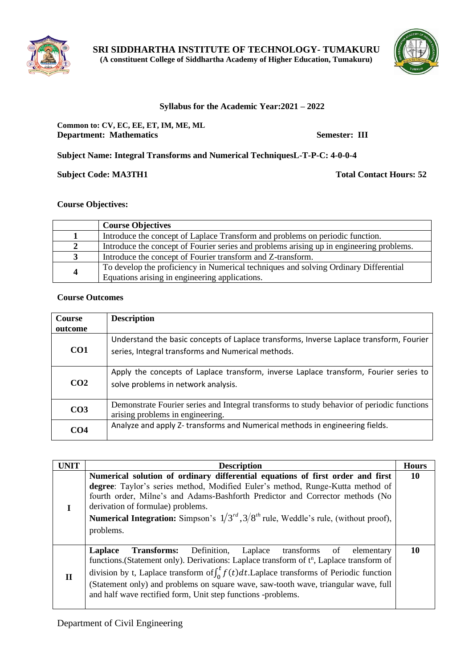



#### **Syllabus for the Academic Year:2021 – 2022**

#### **Common to: CV, EC, EE, ET, IM, ME, ML Department: Mathematics Semester: III**

**Subject Name: Integral Transforms and Numerical TechniquesL-T-P-C: 4-0-0-4**

**Subject Code: MA3TH1 Total Contact Hours: 52** 

#### **Course Objectives:**

|   | <b>Course Objectives</b>                                                                 |
|---|------------------------------------------------------------------------------------------|
|   | Introduce the concept of Laplace Transform and problems on periodic function.            |
| 2 | Introduce the concept of Fourier series and problems arising up in engineering problems. |
|   | Introduce the concept of Fourier transform and Z-transform.                              |
|   | To develop the proficiency in Numerical techniques and solving Ordinary Differential     |
| 4 | Equations arising in engineering applications.                                           |

#### **Course Outcomes**

| Course          | <b>Description</b>                                                                                                                            |
|-----------------|-----------------------------------------------------------------------------------------------------------------------------------------------|
| outcome         |                                                                                                                                               |
| CO <sub>1</sub> | Understand the basic concepts of Laplace transforms, Inverse Laplace transform, Fourier<br>series, Integral transforms and Numerical methods. |
| CO <sub>2</sub> | Apply the concepts of Laplace transform, inverse Laplace transform, Fourier series to<br>solve problems in network analysis.                  |
| CO <sub>3</sub> | Demonstrate Fourier series and Integral transforms to study behavior of periodic functions<br>arising problems in engineering.                |
| CO <sub>4</sub> | Analyze and apply Z-transforms and Numerical methods in engineering fields.                                                                   |

| <b>UNIT</b>  | <b>Description</b><br><b>Hours</b>                                                                                                                                                                                                                                                                                                                                                                                                        |    |  |  |  |  |  |  |
|--------------|-------------------------------------------------------------------------------------------------------------------------------------------------------------------------------------------------------------------------------------------------------------------------------------------------------------------------------------------------------------------------------------------------------------------------------------------|----|--|--|--|--|--|--|
|              | Numerical solution of ordinary differential equations of first order and first<br>degree: Taylor's series method, Modified Euler's method, Runge-Kutta method of<br>fourth order, Milne's and Adams-Bashforth Predictor and Corrector methods (No<br>derivation of formulae) problems.<br><b>Numerical Integration:</b> Simpson's $1/3^{rd}$ , $3/8^{th}$ rule, Weddle's rule, (without proof),<br>problems.                              |    |  |  |  |  |  |  |
| $\mathbf{I}$ | Definition, Laplace transforms of elementary<br>Laplace<br>Transforms:<br>functions. (Statement only). Derivations: Laplace transform of t <sup>n</sup> , Laplace transform of<br>division by t, Laplace transform of $\int_0^t f(t) dt$ . Laplace transforms of Periodic function<br>(Statement only) and problems on square wave, saw-tooth wave, triangular wave, full<br>and half wave rectified form, Unit step functions -problems. | 10 |  |  |  |  |  |  |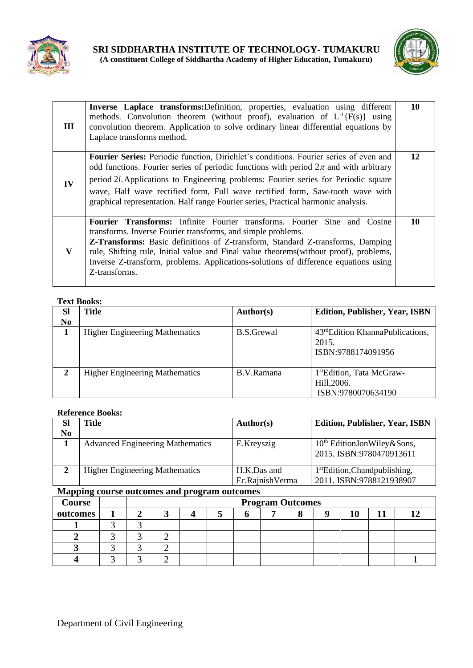



| Ш  | Inverse Laplace transforms: Definition, properties, evaluation using different<br>methods. Convolution theorem (without proof), evaluation of $L^{-1}{F(s)}$ using<br>convolution theorem. Application to solve ordinary linear differential equations by<br>Laplace transforms method.                                                                                                                                                                | 10 |
|----|--------------------------------------------------------------------------------------------------------------------------------------------------------------------------------------------------------------------------------------------------------------------------------------------------------------------------------------------------------------------------------------------------------------------------------------------------------|----|
| IV | <b>Fourier Series:</b> Periodic function, Dirichlet's conditions. Fourier series of even and<br>odd functions. Fourier series of periodic functions with period $2\pi$ and with arbitrary<br>period 2l. Applications to Engineering problems: Fourier series for Periodic square<br>wave, Half wave rectified form, Full wave rectified form, Saw-tooth wave with<br>graphical representation. Half range Fourier series, Practical harmonic analysis. | 12 |
| V  | <b>Fourier Transforms:</b> Infinite Fourier transforms. Fourier Sine and Cosine<br>transforms. Inverse Fourier transforms, and simple problems.<br>Z-Transforms: Basic definitions of Z-transform, Standard Z-transforms, Damping<br>rule, Shifting rule, Initial value and Final value theorems(without proof), problems,<br>Inverse Z-transform, problems. Applications-solutions of difference equations using<br>Z-transforms.                     | 10 |

#### **Text Books:**

| <b>SI</b><br>No | <b>Title</b>                          | Author(s)  | <b>Edition, Publisher, Year, ISBN</b>                                       |
|-----------------|---------------------------------------|------------|-----------------------------------------------------------------------------|
|                 | <b>Higher Engineering Mathematics</b> | B.S.Grewal | 43 <sup>rd</sup> Edition KhannaPublications,<br>2015.<br>ISBN:9788174091956 |
| $\mathbf{2}$    | <b>Higher Engineering Mathematics</b> | B.V.Ramana | 1 <sup>st</sup> Edition, Tata McGraw-<br>Hill, 2006.<br>ISBN:9780070634190  |

#### **Reference Books:**

| <b>Sl</b> | <b>Title</b>                            | Author(s)       | <b>Edition, Publisher, Year, ISBN</b>                              |
|-----------|-----------------------------------------|-----------------|--------------------------------------------------------------------|
| No        |                                         |                 |                                                                    |
|           | <b>Advanced Engineering Mathematics</b> | E.Kreyszig      | 10 <sup>th</sup> EditionJonWiley&Sons,<br>2015. ISBN:9780470913611 |
|           | <b>Higher Engineering Mathematics</b>   | H.K.Das and     | 1 <sup>st</sup> Edition, Chandpublishing,                          |
|           |                                         | Er.RajnishVerma | 2011. ISBN:9788121938907                                           |

# **Mapping course outcomes and program outcomes**

| <b>Course</b> |  |  |  | <b>Program Outcomes</b> |  |  |
|---------------|--|--|--|-------------------------|--|--|
| outcomes      |  |  |  |                         |  |  |
|               |  |  |  |                         |  |  |
|               |  |  |  |                         |  |  |
|               |  |  |  |                         |  |  |
|               |  |  |  |                         |  |  |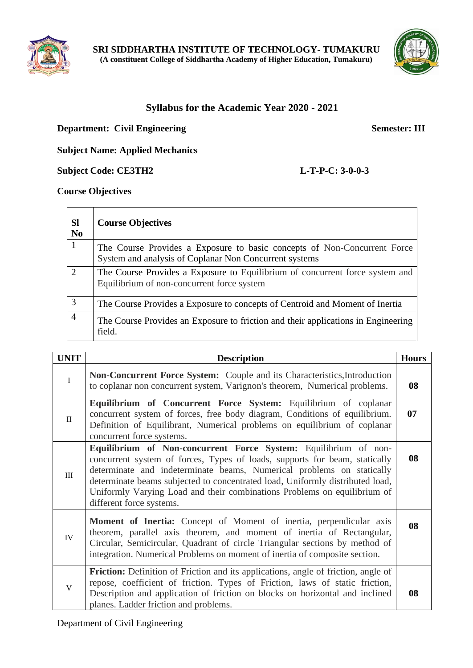



# **Syllabus for the Academic Year 2020 - 2021**

# **Department: Civil Engineering Semester: III**

# **Subject Name: Applied Mechanics**

**Subject Code: CE3TH2 L-T-P-C: 3-0-0-3**

#### **Course Objectives**

| <b>SI</b><br>N <sub>0</sub> | <b>Course Objectives</b>                                                                                                           |
|-----------------------------|------------------------------------------------------------------------------------------------------------------------------------|
|                             | The Course Provides a Exposure to basic concepts of Non-Concurrent Force<br>System and analysis of Coplanar Non Concurrent systems |
| $\mathcal{D}_{\mathcal{L}}$ | The Course Provides a Exposure to Equilibrium of concurrent force system and<br>Equilibrium of non-concurrent force system         |
| 3                           | The Course Provides a Exposure to concepts of Centroid and Moment of Inertia                                                       |
| $\overline{4}$              | The Course Provides an Exposure to friction and their applications in Engineering<br>field.                                        |

| <b>UNIT</b>  | <b>Description</b>                                                                                                                                                                                                                                                                                                                                                                                              | <b>Hours</b> |  |  |
|--------------|-----------------------------------------------------------------------------------------------------------------------------------------------------------------------------------------------------------------------------------------------------------------------------------------------------------------------------------------------------------------------------------------------------------------|--------------|--|--|
| $\mathbf I$  | <b>Non-Concurrent Force System:</b> Couple and its Characteristics, Introduction<br>to coplanar non concurrent system, Varignon's theorem, Numerical problems.                                                                                                                                                                                                                                                  | 08           |  |  |
| $\mathbf{H}$ | Equilibrium of Concurrent Force System: Equilibrium of coplanar<br>concurrent system of forces, free body diagram, Conditions of equilibrium.<br>Definition of Equilibrant, Numerical problems on equilibrium of coplanar<br>concurrent force systems.                                                                                                                                                          | 07           |  |  |
| III          | Equilibrium of Non-concurrent Force System: Equilibrium of non-<br>concurrent system of forces, Types of loads, supports for beam, statically<br>determinate and indeterminate beams, Numerical problems on statically<br>determinate beams subjected to concentrated load, Uniformly distributed load,<br>Uniformly Varying Load and their combinations Problems on equilibrium of<br>different force systems. |              |  |  |
| <b>IV</b>    | <b>Moment of Inertia:</b> Concept of Moment of inertia, perpendicular axis<br>theorem, parallel axis theorem, and moment of inertia of Rectangular,<br>Circular, Semicircular, Quadrant of circle Triangular sections by method of<br>integration. Numerical Problems on moment of inertia of composite section.                                                                                                | 08           |  |  |
| $\mathbf{V}$ | Friction: Definition of Friction and its applications, angle of friction, angle of<br>repose, coefficient of friction. Types of Friction, laws of static friction,<br>Description and application of friction on blocks on horizontal and inclined<br>planes. Ladder friction and problems.                                                                                                                     | 08           |  |  |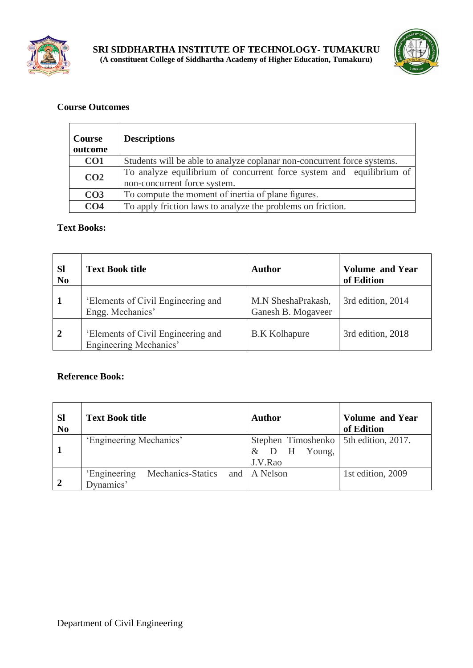



| Course<br>outcome | <b>Descriptions</b>                                                                                  |
|-------------------|------------------------------------------------------------------------------------------------------|
| CO <sub>1</sub>   | Students will be able to analyze coplanar non-concurrent force systems.                              |
| CO <sub>2</sub>   | To analyze equilibrium of concurrent force system and equilibrium of<br>non-concurrent force system. |
| CO <sub>3</sub>   | To compute the moment of inertia of plane figures.                                                   |
| CO <sub>4</sub>   | To apply friction laws to analyze the problems on friction.                                          |

# **Text Books:**

| <b>Sl</b><br>N <sub>0</sub> | <b>Text Book title</b>                                       | <b>Author</b>                            | <b>Volume and Year</b><br>of Edition |
|-----------------------------|--------------------------------------------------------------|------------------------------------------|--------------------------------------|
|                             | 'Elements of Civil Engineering and<br>Engg. Mechanics'       | M.N SheshaPrakash,<br>Ganesh B. Mogaveer | 3rd edition, 2014                    |
|                             | 'Elements of Civil Engineering and<br>Engineering Mechanics' | <b>B.K Kolhapure</b>                     | 3rd edition, 2018                    |

| <b>SI</b><br>N <sub>0</sub> | <b>Text Book title</b>                         | Author                                                             | <b>Volume and Year</b><br>of Edition |
|-----------------------------|------------------------------------------------|--------------------------------------------------------------------|--------------------------------------|
|                             | 'Engineering Mechanics'                        | Stephen Timoshenko   5th edition, 2017.<br>& D H Young,<br>J.V.Rao |                                      |
|                             | Mechanics-Statics<br>'Engineering<br>Dynamics' | and   A Nelson                                                     | 1st edition, 2009                    |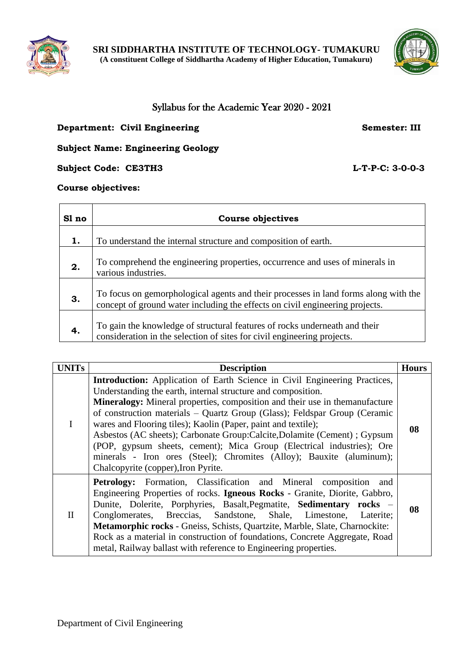



# Syllabus for the Academic Year 2020 - 2021

## **Department: Civil Engineering Semester: III**

# **Subject Name: Engineering Geology**

**Subject Code: CE3TH3 L-T-P-C: 3-0-0-3**

**Course objectives:**

| Sl no | Course objectives                                                                                                                                                   |
|-------|---------------------------------------------------------------------------------------------------------------------------------------------------------------------|
| 1.    | To understand the internal structure and composition of earth.                                                                                                      |
| 2.    | To comprehend the engineering properties, occurrence and uses of minerals in<br>various industries.                                                                 |
| 3.    | To focus on gemorphological agents and their processes in land forms along with the<br>concept of ground water including the effects on civil engineering projects. |
| 4.    | To gain the knowledge of structural features of rocks underneath and their<br>consideration in the selection of sites for civil engineering projects.               |

| <b>UNITs</b> | <b>Description</b>                                                                                                                                                                                                                                                                                                                                                                                                                                                                                                                                                                                                                                   | <b>Hours</b> |
|--------------|------------------------------------------------------------------------------------------------------------------------------------------------------------------------------------------------------------------------------------------------------------------------------------------------------------------------------------------------------------------------------------------------------------------------------------------------------------------------------------------------------------------------------------------------------------------------------------------------------------------------------------------------------|--------------|
|              | <b>Introduction:</b> Application of Earth Science in Civil Engineering Practices,<br>Understanding the earth, internal structure and composition.<br>Mineralogy: Mineral properties, composition and their use in themanufacture<br>of construction materials – Quartz Group (Glass); Feldspar Group (Ceramic<br>wares and Flooring tiles); Kaolin (Paper, paint and textile);<br>Asbestos (AC sheets); Carbonate Group: Calcite, Dolamite (Cement) ; Gypsum<br>(POP, gypsum sheets, cement); Mica Group (Electrical industries); Ore<br>minerals - Iron ores (Steel); Chromites (Alloy); Bauxite (aluminum);<br>Chalcopyrite (copper), Iron Pyrite. | 08           |
| $\mathbf{I}$ | <b>Petrology:</b> Formation, Classification and Mineral composition and<br>Engineering Properties of rocks. Igneous Rocks - Granite, Diorite, Gabbro,<br>Dunite, Dolerite, Porphyries, Basalt, Pegmatite, Sedimentary rocks –<br>Conglomerates, Breccias, Sandstone, Shale, Limestone, Laterite;<br>Metamorphic rocks - Gneiss, Schists, Quartzite, Marble, Slate, Charnockite:<br>Rock as a material in construction of foundations, Concrete Aggregate, Road<br>metal, Railway ballast with reference to Engineering properties.                                                                                                                   | 08           |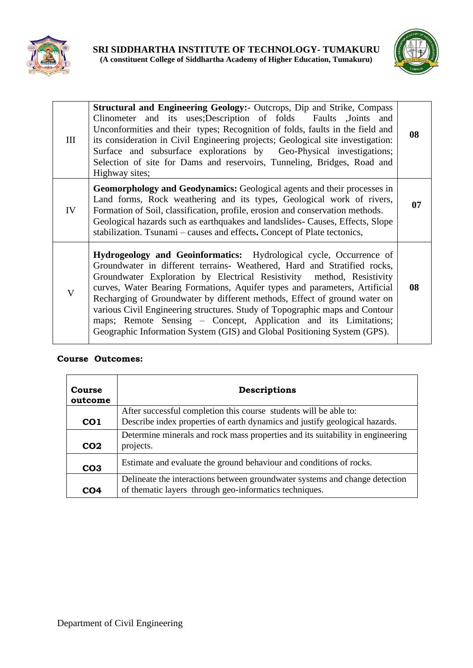



| Ш  | <b>Structural and Engineering Geology:</b> Outcrops, Dip and Strike, Compass<br>Clinometer and its uses; Description of folds Faults , Joints and<br>Unconformities and their types; Recognition of folds, faults in the field and<br>its consideration in Civil Engineering projects; Geological site investigation:<br>Surface and subsurface explorations by Geo-Physical investigations;<br>Selection of site for Dams and reservoirs, Tunneling, Bridges, Road and<br>Highway sites;                                                                                                                         | 08 |
|----|-------------------------------------------------------------------------------------------------------------------------------------------------------------------------------------------------------------------------------------------------------------------------------------------------------------------------------------------------------------------------------------------------------------------------------------------------------------------------------------------------------------------------------------------------------------------------------------------------------------------|----|
| IV | <b>Geomorphology and Geodynamics:</b> Geological agents and their processes in<br>Land forms, Rock weathering and its types, Geological work of rivers,<br>Formation of Soil, classification, profile, erosion and conservation methods.<br>Geological hazards such as earthquakes and landslides- Causes, Effects, Slope<br>stabilization. Tsunami – causes and effects. Concept of Plate tectonics,                                                                                                                                                                                                             | 07 |
| V  | Hydrogeology and Geoinformatics: Hydrological cycle, Occurrence of<br>Groundwater in different terrains- Weathered, Hard and Stratified rocks,<br>Groundwater Exploration by Electrical Resistivity method, Resistivity<br>curves, Water Bearing Formations, Aquifer types and parameters, Artificial<br>Recharging of Groundwater by different methods, Effect of ground water on<br>various Civil Engineering structures. Study of Topographic maps and Contour<br>maps; Remote Sensing - Concept, Application and its Limitations;<br>Geographic Information System (GIS) and Global Positioning System (GPS). | 08 |

r

| <b>Course</b><br>outcome | Descriptions                                                                                                                          |
|--------------------------|---------------------------------------------------------------------------------------------------------------------------------------|
|                          | After successful completion this course students will be able to:                                                                     |
| CO <sub>1</sub>          | Describe index properties of earth dynamics and justify geological hazards.                                                           |
|                          | Determine minerals and rock mass properties and its suitability in engineering                                                        |
| CO <sub>2</sub>          | projects.                                                                                                                             |
| CO <sub>3</sub>          | Estimate and evaluate the ground behaviour and conditions of rocks.                                                                   |
| CO4                      | Delineate the interactions between groundwater systems and change detection<br>of thematic layers through geo-informatics techniques. |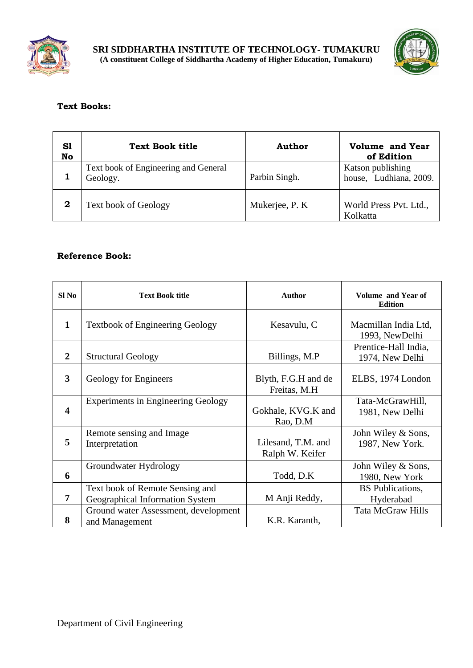



# **Text Books:**

| S1<br>No | <b>Text Book title</b>                           | Author         | <b>Volume and Year</b><br>of Edition        |
|----------|--------------------------------------------------|----------------|---------------------------------------------|
|          | Text book of Engineering and General<br>Geology. | Parbin Singh.  | Katson publishing<br>house, Ludhiana, 2009. |
| 2        | <b>Text book of Geology</b>                      | Mukerjee, P. K | World Press Pvt. Ltd.,<br>Kolkatta          |

| Sl No                   | <b>Text Book title</b>                                             | <b>Author</b>                         | Volume and Year of<br><b>Edition</b>    |
|-------------------------|--------------------------------------------------------------------|---------------------------------------|-----------------------------------------|
| $\mathbf{1}$            | <b>Textbook of Engineering Geology</b>                             | Kesavulu, C                           | Macmillan India Ltd,<br>1993, NewDelhi  |
| 2                       | <b>Structural Geology</b>                                          | Billings, M.P                         | Prentice-Hall India,<br>1974, New Delhi |
| 3                       | Geology for Engineers                                              | Blyth, F.G.H and de<br>Freitas, M.H.  | ELBS, 1974 London                       |
| $\overline{\mathbf{4}}$ | <b>Experiments in Engineering Geology</b>                          | Gokhale, KVG.K and<br>Rao, D.M        | Tata-McGrawHill,<br>1981, New Delhi     |
| 5                       | Remote sensing and Image<br>Interpretation                         | Lilesand, T.M. and<br>Ralph W. Keifer | John Wiley & Sons,<br>1987, New York.   |
| 6                       | Groundwater Hydrology                                              | Todd, D.K                             | John Wiley & Sons,<br>1980, New York    |
| 7                       | Text book of Remote Sensing and<br>Geographical Information System | M Anji Reddy,                         | <b>BS</b> Publications,<br>Hyderabad    |
| 8                       | Ground water Assessment, development<br>and Management             | K.R. Karanth,                         | <b>Tata McGraw Hills</b>                |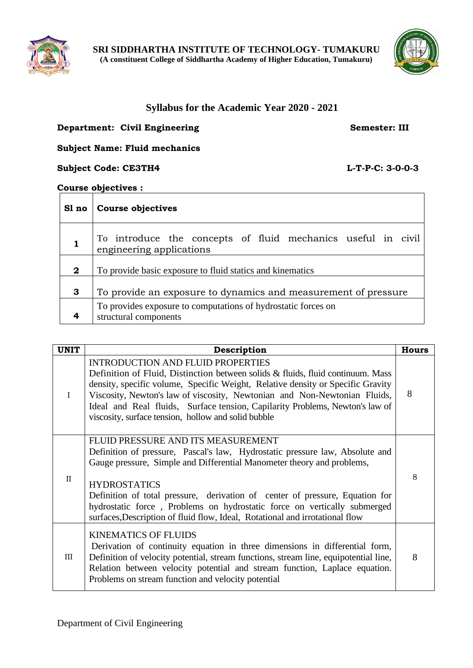



# **Syllabus for the Academic Year 2020 - 2021**

## **Department: Civil Engineering Semester: III**

## **Subject Name: Fluid mechanics**

#### **Subject Code: CE3TH4 L-T-P-C: 3-0-0-3**

#### **Course objectives :**

|              | SI no   Course objectives                                                                |
|--------------|------------------------------------------------------------------------------------------|
|              | To introduce the concepts of fluid mechanics useful in civil<br>engineering applications |
| $\mathbf{2}$ | To provide basic exposure to fluid statics and kinematics                                |
| 3            | To provide an exposure to dynamics and measurement of pressure                           |
|              | To provides exposure to computations of hydrostatic forces on<br>structural components   |

| <b>UNIT</b>  | Description                                                                                                                                                                                                                                                                                                                                                                                                                                                     | <b>Hours</b> |
|--------------|-----------------------------------------------------------------------------------------------------------------------------------------------------------------------------------------------------------------------------------------------------------------------------------------------------------------------------------------------------------------------------------------------------------------------------------------------------------------|--------------|
| $\mathbf I$  | <b>INTRODUCTION AND FLUID PROPERTIES</b><br>Definition of Fluid, Distinction between solids & fluids, fluid continuum. Mass<br>density, specific volume, Specific Weight, Relative density or Specific Gravity<br>Viscosity, Newton's law of viscosity, Newtonian and Non-Newtonian Fluids,<br>Ideal and Real fluids, Surface tension, Capilarity Problems, Newton's law of<br>viscosity, surface tension, hollow and solid bubble                              | 8            |
| $\mathbf{H}$ | FLUID PRESSURE AND ITS MEASUREMENT<br>Definition of pressure, Pascal's law, Hydrostatic pressure law, Absolute and<br>Gauge pressure, Simple and Differential Manometer theory and problems,<br><b>HYDROSTATICS</b><br>Definition of total pressure, derivation of center of pressure, Equation for<br>hydrostatic force, Problems on hydrostatic force on vertically submerged<br>surfaces, Description of fluid flow, Ideal, Rotational and irrotational flow | 8            |
| III          | <b>KINEMATICS OF FLUIDS</b><br>Derivation of continuity equation in three dimensions in differential form,<br>Definition of velocity potential, stream functions, stream line, equipotential line,<br>Relation between velocity potential and stream function, Laplace equation.<br>Problems on stream function and velocity potential                                                                                                                          | 8            |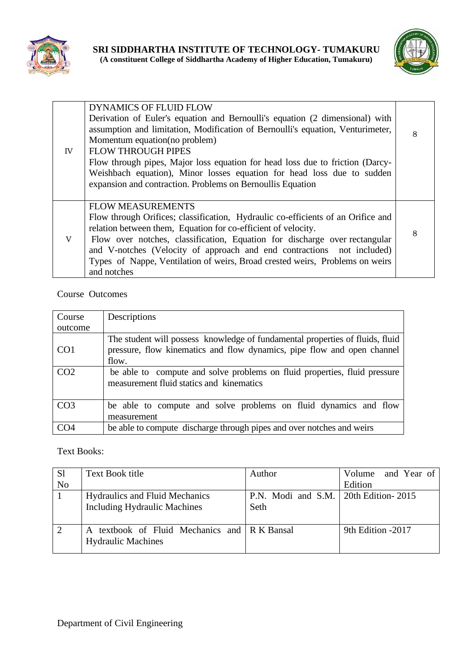



| IV | <b>DYNAMICS OF FLUID FLOW</b><br>Derivation of Euler's equation and Bernoulli's equation (2 dimensional) with<br>assumption and limitation, Modification of Bernoulli's equation, Venturimeter,<br>Momentum equation (no problem)<br><b>FLOW THROUGH PIPES</b><br>Flow through pipes, Major loss equation for head loss due to friction (Darcy-<br>Weishbach equation), Minor losses equation for head loss due to sudden<br>expansion and contraction. Problems on Bernoullis Equation | 8 |
|----|-----------------------------------------------------------------------------------------------------------------------------------------------------------------------------------------------------------------------------------------------------------------------------------------------------------------------------------------------------------------------------------------------------------------------------------------------------------------------------------------|---|
| V  | <b>FLOW MEASUREMENTS</b><br>Flow through Orifices; classification, Hydraulic co-efficients of an Orifice and<br>relation between them, Equation for co-efficient of velocity.<br>Flow over notches, classification, Equation for discharge over rectangular<br>and V-notches (Velocity of approach and end contractions not included)<br>Types of Nappe, Ventilation of weirs, Broad crested weirs, Problems on weirs<br>and notches                                                    | 8 |

| Course          | Descriptions                                                                                                                                                      |
|-----------------|-------------------------------------------------------------------------------------------------------------------------------------------------------------------|
| outcome         |                                                                                                                                                                   |
| CO <sub>1</sub> | The student will possess knowledge of fundamental properties of fluids, fluid<br>pressure, flow kinematics and flow dynamics, pipe flow and open channel<br>flow. |
| CO <sub>2</sub> | be able to compute and solve problems on fluid properties, fluid pressure<br>measurement fluid statics and kinematics                                             |
| CO <sub>3</sub> | be able to compute and solve problems on fluid dynamics and flow<br>measurement                                                                                   |
| CO <sub>4</sub> | be able to compute discharge through pipes and over notches and weirs                                                                                             |

# Text Books:

| S <sub>1</sub> | <b>Text Book title</b>                                     | Author                                 | Volume and Year of |
|----------------|------------------------------------------------------------|----------------------------------------|--------------------|
| N <sub>o</sub> |                                                            |                                        | Edition            |
|                | <b>Hydraulics and Fluid Mechanics</b>                      | P.N. Modi and S.M.   20th Edition-2015 |                    |
|                | Including Hydraulic Machines                               | Seth                                   |                    |
|                |                                                            |                                        |                    |
| $\overline{2}$ | textbook of Fluid Mechanics and R K Bansal<br>$\mathbf{A}$ |                                        | 9th Edition -2017  |
|                | <b>Hydraulic Machines</b>                                  |                                        |                    |
|                |                                                            |                                        |                    |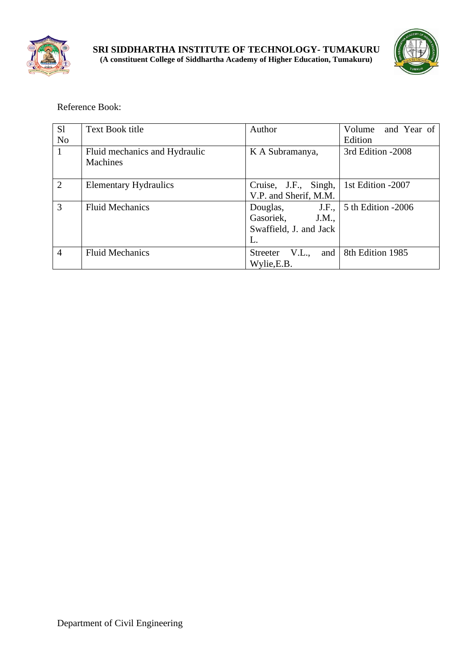



| S1             | <b>Text Book title</b>        | Author                 | Volume and Year of     |
|----------------|-------------------------------|------------------------|------------------------|
| N <sub>o</sub> |                               |                        | Edition                |
| $\mathbf{1}$   | Fluid mechanics and Hydraulic | K A Subramanya,        | 3rd Edition -2008      |
|                | <b>Machines</b>               |                        |                        |
|                |                               |                        |                        |
| $\overline{2}$ | <b>Elementary Hydraulics</b>  | Cruise, J.F., Singh,   | 1st Edition -2007      |
|                |                               | V.P. and Sherif, M.M.  |                        |
| 3              | <b>Fluid Mechanics</b>        | J.F.,<br>Douglas,      | 5 th Edition -2006     |
|                |                               | Gasoriek,<br>J.M.,     |                        |
|                |                               | Swaffield, J. and Jack |                        |
|                |                               | L.                     |                        |
| $\overline{4}$ | <b>Fluid Mechanics</b>        | V.L.,<br>Streeter      | and   8th Edition 1985 |
|                |                               | Wylie, E.B.            |                        |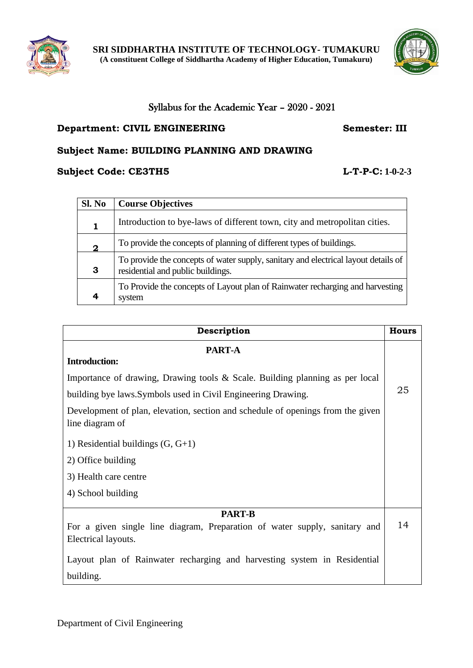



# Syllabus for the Academic Year – 2020 - 2021

# **Department: CIVIL ENGINEERING Semester: III**

# **Subject Name: BUILDING PLANNING AND DRAWING**

# **Subject Code: CE3TH5 L-T-P-C: 1-0-2-3**

| Sl. No       | <b>Course Objectives</b>                                                                                                |
|--------------|-------------------------------------------------------------------------------------------------------------------------|
|              | Introduction to bye-laws of different town, city and metropolitan cities.                                               |
| $\mathbf{2}$ | To provide the concepts of planning of different types of buildings.                                                    |
| 3            | To provide the concepts of water supply, sanitary and electrical layout details of<br>residential and public buildings. |
|              | To Provide the concepts of Layout plan of Rainwater recharging and harvesting<br>system                                 |

| Description                                                                                        | <b>Hours</b> |
|----------------------------------------------------------------------------------------------------|--------------|
| <b>PART-A</b>                                                                                      |              |
| <b>Introduction:</b>                                                                               |              |
| Importance of drawing, Drawing tools & Scale. Building planning as per local                       |              |
| building bye laws. Symbols used in Civil Engineering Drawing.                                      | 25           |
| Development of plan, elevation, section and schedule of openings from the given<br>line diagram of |              |
| 1) Residential buildings $(G, G+1)$                                                                |              |
| 2) Office building                                                                                 |              |
| 3) Health care centre                                                                              |              |
| 4) School building                                                                                 |              |
| <b>PART-B</b>                                                                                      |              |
| For a given single line diagram, Preparation of water supply, sanitary and                         | 14           |
| Electrical layouts.                                                                                |              |
| Layout plan of Rainwater recharging and harvesting system in Residential                           |              |
| building.                                                                                          |              |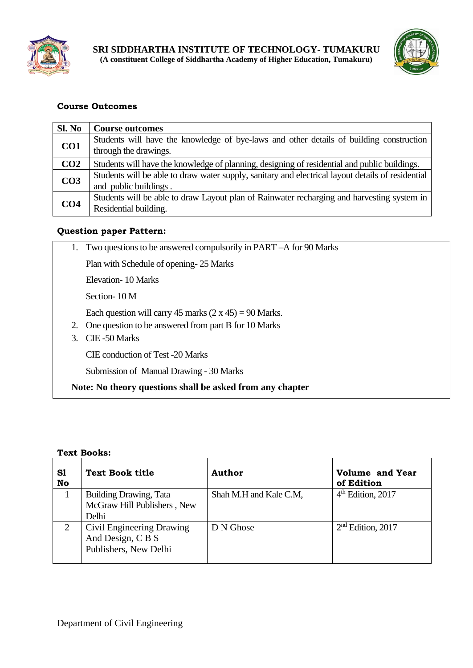



| Sl. No          | <b>Course outcomes</b>                                                                                                     |
|-----------------|----------------------------------------------------------------------------------------------------------------------------|
| CO <sub>1</sub> | Students will have the knowledge of bye-laws and other details of building construction<br>through the drawings.           |
| CO <sub>2</sub> | Students will have the knowledge of planning, designing of residential and public buildings.                               |
| CO <sub>3</sub> | Students will be able to draw water supply, sanitary and electrical layout details of residential<br>and public buildings. |
| CO <sub>4</sub> | Students will be able to draw Layout plan of Rainwater recharging and harvesting system in<br>Residential building.        |

# **Question paper Pattern:**

|    | 1. Two questions to be answered compulsorily in PART – A for 90 Marks |
|----|-----------------------------------------------------------------------|
|    | Plan with Schedule of opening-25 Marks                                |
|    | Elevation - 10 Marks                                                  |
|    | Section - 10 M                                                        |
|    | Each question will carry 45 marks $(2 \times 45) = 90$ Marks.         |
|    | One question to be answered from part B for 10 Marks                  |
| 3. | CIE-50 Marks                                                          |
|    | <b>CIE</b> conduction of Test -20 Marks                               |
|    | Submission of Manual Drawing - 30 Marks                               |
|    | Note: No theory questions shall be asked from any chapter             |

#### **Text Books:**

| S1<br>No | <b>Text Book title</b>                         | Author                 | Volume and Year<br>of Edition |
|----------|------------------------------------------------|------------------------|-------------------------------|
|          | <b>Building Drawing, Tata</b>                  | Shah M.H and Kale C.M, | $4th$ Edition, 2017           |
|          | McGraw Hill Publishers, New                    |                        |                               |
|          | Delhi                                          |                        |                               |
|          | Civil Engineering Drawing<br>And Design, C B S | D N Ghose              | $2nd$ Edition, 2017           |
|          | Publishers, New Delhi                          |                        |                               |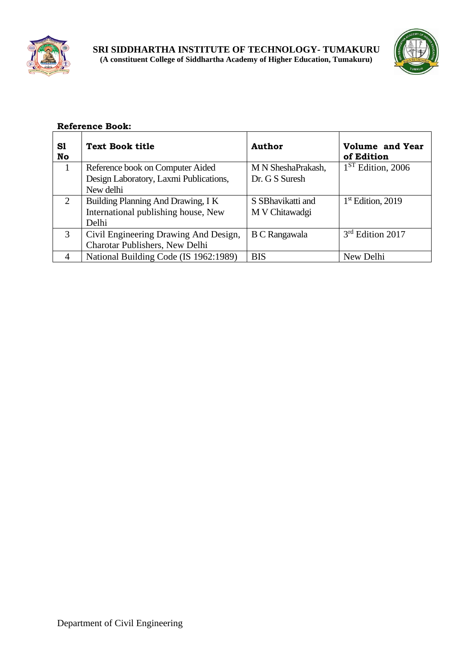

<u> 1980 - Johann Barn, mars an t-Amerikaansk kommunister (</u>



| S1<br>No       | <b>Text Book title</b>                 | Author               | Volume and Year<br>of Edition |
|----------------|----------------------------------------|----------------------|-------------------------------|
| 1              | Reference book on Computer Aided       | M N SheshaPrakash,   | $1ST$ Edition, 2006           |
|                | Design Laboratory, Laxmi Publications, | Dr. G S Suresh       |                               |
|                | New delhi                              |                      |                               |
| $\overline{2}$ | Building Planning And Drawing, I K     | S SB havikatti and   | $1st$ Edition, 2019           |
|                | International publishing house, New    | M V Chitawadgi       |                               |
|                | Delhi                                  |                      |                               |
| 3              | Civil Engineering Drawing And Design,  | <b>B C Rangawala</b> | $3rd$ Edition 2017            |
|                | Charotar Publishers, New Delhi         |                      |                               |
| 4              | National Building Code (IS 1962:1989)  | <b>BIS</b>           | New Delhi                     |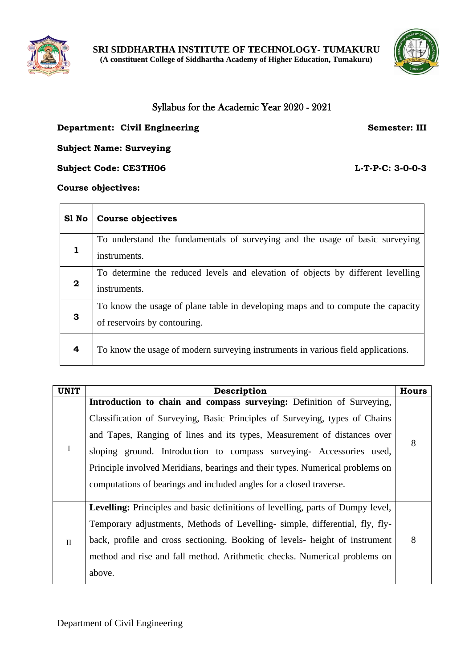



# Syllabus for the Academic Year 2020 - 2021

## **Department: Civil Engineering Semester: III**

**Subject Name: Surveying**

**Subject Code: CE3TH06 L-T-P-C: 3-0-0-3** 

#### **Course objectives:**

| S1 No        | <b>Course objectives</b>                                                                                        |
|--------------|-----------------------------------------------------------------------------------------------------------------|
|              | To understand the fundamentals of surveying and the usage of basic surveying                                    |
| $\mathbf{2}$ | instruments.<br>To determine the reduced levels and elevation of objects by different levelling<br>instruments. |
| 3            | To know the usage of plane table in developing maps and to compute the capacity<br>of reservoirs by contouring. |
| 4            | To know the usage of modern surveying instruments in various field applications.                                |

| <b>UNIT</b>  | Description                                                                                                                                                                                                                                                                                                                                                                                                                                                      | <b>Hours</b> |
|--------------|------------------------------------------------------------------------------------------------------------------------------------------------------------------------------------------------------------------------------------------------------------------------------------------------------------------------------------------------------------------------------------------------------------------------------------------------------------------|--------------|
| $\mathbf I$  | Introduction to chain and compass surveying: Definition of Surveying,<br>Classification of Surveying, Basic Principles of Surveying, types of Chains<br>and Tapes, Ranging of lines and its types, Measurement of distances over<br>sloping ground. Introduction to compass surveying- Accessories used,<br>Principle involved Meridians, bearings and their types. Numerical problems on<br>computations of bearings and included angles for a closed traverse. | 8            |
| $\mathbf{H}$ | Levelling: Principles and basic definitions of levelling, parts of Dumpy level,<br>Temporary adjustments, Methods of Levelling- simple, differential, fly, fly-<br>back, profile and cross sectioning. Booking of levels- height of instrument<br>method and rise and fall method. Arithmetic checks. Numerical problems on<br>above.                                                                                                                            | 8            |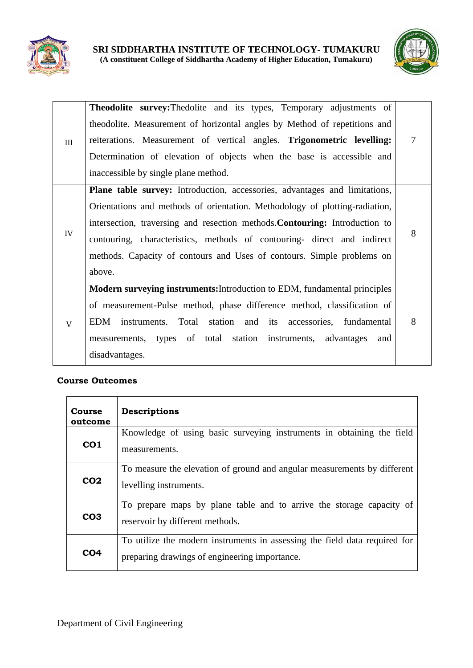



| III                       | <b>Theodolite survey:</b> The dolite and its types, Temporary adjustments of<br>theodolite. Measurement of horizontal angles by Method of repetitions and<br>reiterations. Measurement of vertical angles. Trigonometric levelling:<br>Determination of elevation of objects when the base is accessible and<br>inaccessible by single plane method.                                                    | 7 |
|---------------------------|---------------------------------------------------------------------------------------------------------------------------------------------------------------------------------------------------------------------------------------------------------------------------------------------------------------------------------------------------------------------------------------------------------|---|
| IV                        | Plane table survey: Introduction, accessories, advantages and limitations,<br>Orientations and methods of orientation. Methodology of plotting-radiation,<br>intersection, traversing and resection methods. Contouring: Introduction to<br>contouring, characteristics, methods of contouring- direct and indirect<br>methods. Capacity of contours and Uses of contours. Simple problems on<br>above. | 8 |
| $\ensuremath{\mathbf{V}}$ | Modern surveying instruments: Introduction to EDM, fundamental principles<br>of measurement-Pulse method, phase difference method, classification of<br>EDM instruments. Total station and its accessories, fundamental<br>measurements, types of total station instruments, advantages<br>and<br>disadvantages.                                                                                        | 8 |

| Course<br>outcome | Descriptions                                                                                                                |
|-------------------|-----------------------------------------------------------------------------------------------------------------------------|
| CO <sub>1</sub>   | Knowledge of using basic surveying instruments in obtaining the field<br>measurements.                                      |
| CO <sub>2</sub>   | To measure the elevation of ground and angular measurements by different<br>levelling instruments.                          |
| CO <sub>3</sub>   | To prepare maps by plane table and to arrive the storage capacity of<br>reservoir by different methods.                     |
| CO <sub>4</sub>   | To utilize the modern instruments in assessing the field data required for<br>preparing drawings of engineering importance. |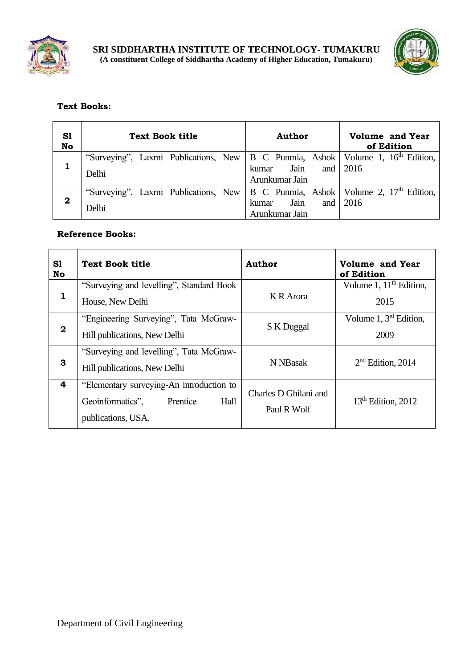



# **Text Books:**

| S1<br>No    | <b>Text Book title</b>                                                                                  | <b>Author</b>                                        | <b>Volume and Year</b><br>of Edition |  |  |
|-------------|---------------------------------------------------------------------------------------------------------|------------------------------------------------------|--------------------------------------|--|--|
|             | "Surveying", Laxmi Publications, New   B C Punmia, Ashok   Volume 1, 16 <sup>th</sup> Edition,<br>Delhi | Jain and $2016$<br>kumar<br>Arunkumar Jain           |                                      |  |  |
| $\mathbf 2$ | "Surveying", Laxmi Publications, New   B C Punmia, Ashok   Volume 2, 17 <sup>th</sup> Edition,<br>Delhi | Jain<br>and $\sqrt{2016}$<br>kumar<br>Arunkumar Jain |                                      |  |  |

| S1<br><b>No</b>  | <b>Text Book title</b>                                                                                 | <b>Author</b>                        | <b>Volume and Year</b><br>of Edition        |  |
|------------------|--------------------------------------------------------------------------------------------------------|--------------------------------------|---------------------------------------------|--|
| 1                | "Surveying and levelling", Standard Book<br>House, New Delhi                                           | K R Arora                            | Volume 1, 11 <sup>th</sup> Edition,<br>2015 |  |
| $\boldsymbol{2}$ | "Engineering Surveying", Tata McGraw-<br>Hill publications, New Delhi                                  | S K Duggal                           | Volume $1, 3rd$ Edition,<br>2009            |  |
| 3                | "Surveying and levelling", Tata McGraw-<br>Hill publications, New Delhi                                | N NBasak                             | $2nd$ Edition, 2014                         |  |
| 4                | "Elementary surveying-An introduction to<br>Hall<br>Geoinformatics",<br>Prentice<br>publications, USA. | Charles D Ghilani and<br>Paul R Wolf | $13th$ Edition, 2012                        |  |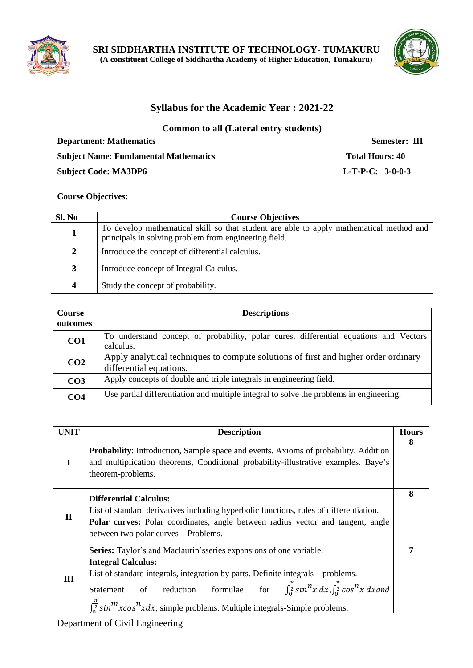



# **Syllabus for the Academic Year : 2021-22**

**Common to all (Lateral entry students)**

**Department: Mathematics Semester: III Subject Name: Fundamental Mathematics Total Hours: 40 Subject Code: MA3DP6 L-T-P-C: 3-0-0-3**

#### **Course Objectives:**

| SI. No | <b>Course Objectives</b>                                                                                                                         |
|--------|--------------------------------------------------------------------------------------------------------------------------------------------------|
|        | To develop mathematical skill so that student are able to apply mathematical method and<br>principals in solving problem from engineering field. |
| 2      | Introduce the concept of differential calculus.                                                                                                  |
| 3      | Introduce concept of Integral Calculus.                                                                                                          |
| 4      | Study the concept of probability.                                                                                                                |

| Course<br>outcomes | <b>Descriptions</b>                                                                                            |
|--------------------|----------------------------------------------------------------------------------------------------------------|
| CO <sub>1</sub>    | To understand concept of probability, polar cures, differential equations and Vectors<br>calculus.             |
| CO <sub>2</sub>    | Apply analytical techniques to compute solutions of first and higher order ordinary<br>differential equations. |
| CO <sub>3</sub>    | Apply concepts of double and triple integrals in engineering field.                                            |
| CO <sub>4</sub>    | Use partial differentiation and multiple integral to solve the problems in engineering.                        |

| <b>UNIT</b>  | <b>Description</b>                                                                                                                                                                                                                                                                                                                                                                                                                  | <b>Hours</b> |  |  |
|--------------|-------------------------------------------------------------------------------------------------------------------------------------------------------------------------------------------------------------------------------------------------------------------------------------------------------------------------------------------------------------------------------------------------------------------------------------|--------------|--|--|
| $\mathbf I$  | <b>Probability:</b> Introduction, Sample space and events. Axioms of probability. Addition<br>and multiplication theorems, Conditional probability-illustrative examples. Baye's<br>theorem-problems.                                                                                                                                                                                                                               |              |  |  |
| $\mathbf{I}$ | <b>Differential Calculus:</b><br>List of standard derivatives including hyperbolic functions, rules of differentiation.<br><b>Polar curves:</b> Polar coordinates, angle between radius vector and tangent, angle<br>between two polar curves – Problems.                                                                                                                                                                           |              |  |  |
| Ш            | Series: Taylor's and Maclaurin'sseries expansions of one variable.<br><b>Integral Calculus:</b><br>List of standard integrals, integration by parts. Definite integrals – problems.<br>of reduction formulae for $\int_{0}^{\frac{\pi}{2}} \sin^n x \, dx$ , $\int_{0}^{\frac{\pi}{2}} \cos^n x \, dx$ and<br>Statement<br>$\int_{0}^{\frac{1}{2}} \sin^{m} x \cos^{n} x dx$ , simple problems. Multiple integrals-Simple problems. | 7            |  |  |

Department of Civil Engineering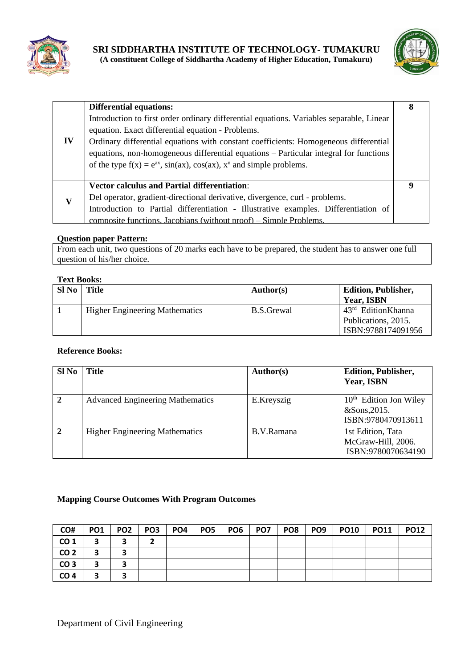



|    | <b>Differential equations:</b>                                                           | 8 |
|----|------------------------------------------------------------------------------------------|---|
|    | Introduction to first order ordinary differential equations. Variables separable, Linear |   |
|    | equation. Exact differential equation - Problems.                                        |   |
| IV | Ordinary differential equations with constant coefficients: Homogeneous differential     |   |
|    | equations, non-homogeneous differential equations – Particular integral for functions    |   |
|    | of the type $f(x) = e^{ax}$ , $sin(ax)$ , $cos(ax)$ , $x^n$ and simple problems.         |   |
|    |                                                                                          |   |
|    | <b>Vector calculus and Partial differentiation:</b>                                      |   |
| V  | Del operator, gradient-directional derivative, divergence, curl - problems.              |   |
|    | Introduction to Partial differentiation - Illustrative examples. Differentiation of      |   |
|    | composite functions. Jacobians (without proof) – Simple Problems.                        |   |

#### **Question paper Pattern:**

From each unit, two questions of 20 marks each have to be prepared, the student has to answer one full question of his/her choice.

#### **Text Books:**

| $SI$ No | <b>Title</b>                          | <b>Author(s)</b> | <b>Edition, Publisher,</b><br>Year, ISBN                          |
|---------|---------------------------------------|------------------|-------------------------------------------------------------------|
|         | <b>Higher Engineering Mathematics</b> | B.S.Grewal       | $43rd$ EditionKhanna<br>Publications, 2015.<br>ISBN:9788174091956 |

#### **Reference Books:**

| Sl <sub>No</sub> | <b>Title</b>                            | Author(s)  | <b>Edition, Publisher,</b><br>Year, ISBN                                 |
|------------------|-----------------------------------------|------------|--------------------------------------------------------------------------|
| $\mathbf{2}$     | <b>Advanced Engineering Mathematics</b> | E.Kreyszig | 10 <sup>th</sup> Edition Jon Wiley<br>&Sons, 2015.<br>ISBN:9780470913611 |
| $\overline{2}$   | <b>Higher Engineering Mathematics</b>   | B.V.Ramana | 1st Edition, Tata<br>McGraw-Hill, 2006.<br>ISBN:9780070634190            |

### **Mapping Course Outcomes With Program Outcomes**

| CO#             | <b>PO1</b> | PO <sub>2</sub> | PO <sub>3</sub> | PO <sub>4</sub> | PO <sub>5</sub> | PO <sub>6</sub> | PO7 | PO8 | PO9 | <b>PO10</b> | <b>PO11</b> | <b>PO12</b> |
|-----------------|------------|-----------------|-----------------|-----------------|-----------------|-----------------|-----|-----|-----|-------------|-------------|-------------|
| CO <sub>1</sub> |            |                 |                 |                 |                 |                 |     |     |     |             |             |             |
| CO <sub>2</sub> | 3          |                 |                 |                 |                 |                 |     |     |     |             |             |             |
| CO <sub>3</sub> | 3          |                 |                 |                 |                 |                 |     |     |     |             |             |             |
| CO <sub>4</sub> |            |                 |                 |                 |                 |                 |     |     |     |             |             |             |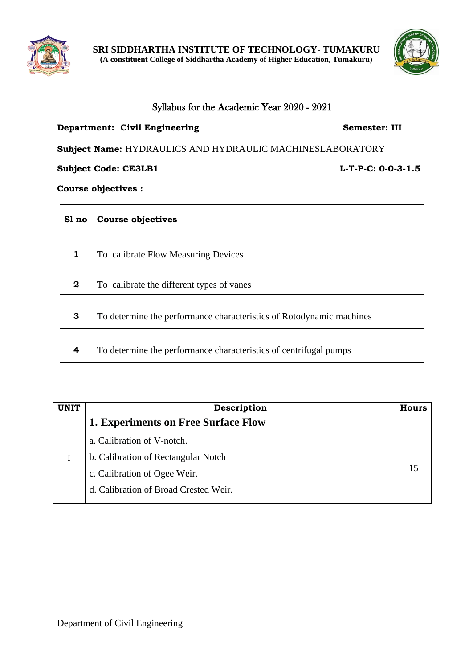



# Syllabus for the Academic Year 2020 - 2021

## **Department: Civil Engineering <b>Semester: III**

**Subject Name:** HYDRAULICS AND HYDRAULIC MACHINESLABORATORY

**Subject Code: CE3LB1** L-T-P-C: 0-0-3-1.5

**Course objectives :**

| Sl no            | <b>Course objectives</b>                                             |
|------------------|----------------------------------------------------------------------|
| $\mathbf{1}$     | To calibrate Flow Measuring Devices                                  |
| $\boldsymbol{2}$ | To calibrate the different types of vanes                            |
| 3                | To determine the performance characteristics of Rotodynamic machines |
| $\overline{4}$   | To determine the performance characteristics of centrifugal pumps    |

| Description                                | Hours |
|--------------------------------------------|-------|
| <b>1. Experiments on Free Surface Flow</b> |       |
| a. Calibration of V-notch.                 |       |
| b. Calibration of Rectangular Notch        |       |
| c. Calibration of Ogee Weir.               |       |
| d. Calibration of Broad Crested Weir.      |       |
|                                            |       |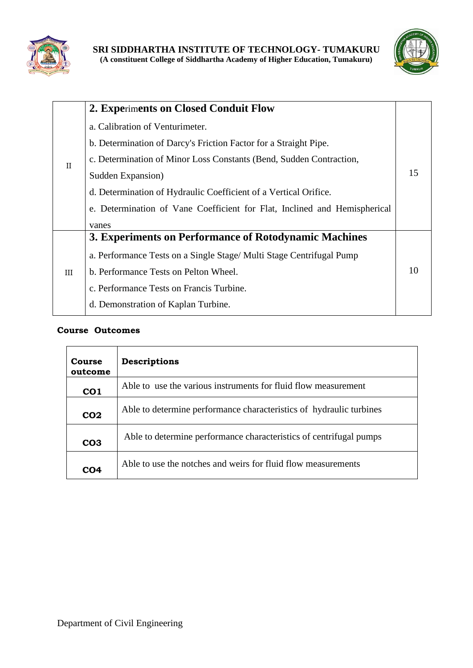



|              | 2. Experiments on Closed Conduit Flow                                     |  |
|--------------|---------------------------------------------------------------------------|--|
|              | a. Calibration of Venturimeter.                                           |  |
|              | b. Determination of Darcy's Friction Factor for a Straight Pipe.          |  |
| $\mathbf{H}$ | c. Determination of Minor Loss Constants (Bend, Sudden Contraction,       |  |
|              | Sudden Expansion)                                                         |  |
|              | d. Determination of Hydraulic Coefficient of a Vertical Orifice.          |  |
|              | e. Determination of Vane Coefficient for Flat, Inclined and Hemispherical |  |
|              | vanes                                                                     |  |
|              | 3. Experiments on Performance of Rotodynamic Machines                     |  |
|              | a. Performance Tests on a Single Stage/ Multi Stage Centrifugal Pump      |  |
| III          | b. Performance Tests on Pelton Wheel.                                     |  |
|              | c. Performance Tests on Francis Turbine.                                  |  |
|              | d. Demonstration of Kaplan Turbine.                                       |  |

| Course<br>outcome | <b>Descriptions</b>                                                 |  |
|-------------------|---------------------------------------------------------------------|--|
| CO <sub>1</sub>   | Able to use the various instruments for fluid flow measurement      |  |
| CO <sub>2</sub>   | Able to determine performance characteristics of hydraulic turbines |  |
| CO <sub>3</sub>   | Able to determine performance characteristics of centrifugal pumps  |  |
| CO <sub>4</sub>   | Able to use the notches and weirs for fluid flow measurements       |  |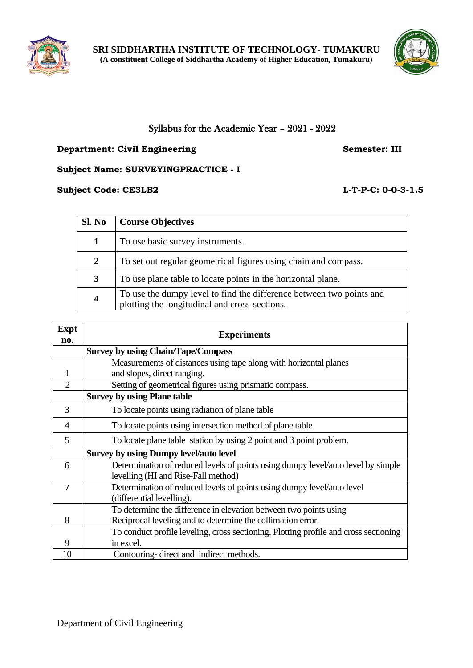



# Syllabus for the Academic Year – 2021 - 2022

# **Department: Civil Engineering Semester: III**

**Subject Name: SURVEYINGPRACTICE - I**

## **Subject Code: CE3LB2 L-T-P-C: 0-0-3-1.5**

| Sl. No         | <b>Course Objectives</b>                                                                                              |
|----------------|-----------------------------------------------------------------------------------------------------------------------|
| 1              | To use basic survey instruments.                                                                                      |
| $\overline{2}$ | To set out regular geometrical figures using chain and compass.                                                       |
| 3              | To use plane table to locate points in the horizontal plane.                                                          |
| 4              | To use the dumpy level to find the difference between two points and<br>plotting the longitudinal and cross-sections. |

| <b>Expt</b>    | <b>Experiments</b>                                                                   |  |  |
|----------------|--------------------------------------------------------------------------------------|--|--|
| no.            |                                                                                      |  |  |
|                | <b>Survey by using Chain/Tape/Compass</b>                                            |  |  |
|                | Measurements of distances using tape along with horizontal planes                    |  |  |
| 1              | and slopes, direct ranging.                                                          |  |  |
| $\overline{2}$ | Setting of geometrical figures using prismatic compass.                              |  |  |
|                | <b>Survey by using Plane table</b>                                                   |  |  |
| 3              | To locate points using radiation of plane table                                      |  |  |
| 4              | To locate points using intersection method of plane table                            |  |  |
| 5              | To locate plane table station by using 2 point and 3 point problem.                  |  |  |
|                | <b>Survey by using Dumpy level/auto level</b>                                        |  |  |
| 6              | Determination of reduced levels of points using dumpy level/auto level by simple     |  |  |
|                | levelling (HI and Rise-Fall method)                                                  |  |  |
| $\overline{7}$ | Determination of reduced levels of points using dumpy level/auto level               |  |  |
|                | (differential levelling).                                                            |  |  |
|                | To determine the difference in elevation between two points using                    |  |  |
| 8              | Reciprocal leveling and to determine the collimation error.                          |  |  |
|                | To conduct profile leveling, cross sectioning. Plotting profile and cross sectioning |  |  |
| 9              | in excel.                                                                            |  |  |
| 10             | Contouring-direct and indirect methods.                                              |  |  |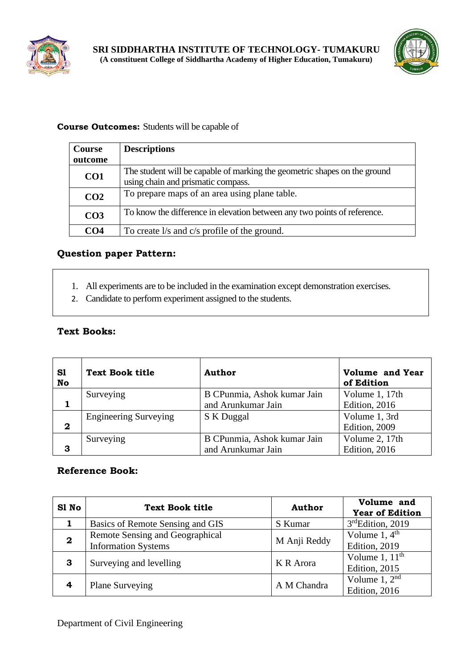



# **Course Outcomes:** Students will be capable of

| <b>Course</b>   | <b>Descriptions</b>                                                                                             |
|-----------------|-----------------------------------------------------------------------------------------------------------------|
| outcome         |                                                                                                                 |
| CO <sub>1</sub> | The student will be capable of marking the geometric shapes on the ground<br>using chain and prismatic compass. |
| CO <sub>2</sub> | To prepare maps of an area using plane table.                                                                   |
| CO <sub>3</sub> | To know the difference in elevation between any two points of reference.                                        |
| CO4             | To create l/s and c/s profile of the ground.                                                                    |

# **Question paper Pattern:**

- 1. All experiments are to be included in the examination except demonstration exercises.
- 2. Candidate to perform experiment assigned to the students.

# **Text Books:**

| S1<br>No    | <b>Text Book title</b>       | <b>Author</b>               | <b>Volume and Year</b><br>of Edition |
|-------------|------------------------------|-----------------------------|--------------------------------------|
|             | Surveying                    | B CPunmia, Ashok kumar Jain | Volume 1, 17th                       |
|             |                              | and Arunkumar Jain          | Edition, 2016                        |
|             | <b>Engineering Surveying</b> | S K Duggal                  | Volume 1, 3rd                        |
| $\mathbf 2$ |                              |                             | Edition, 2009                        |
|             | Surveying                    | B CPunmia, Ashok kumar Jain | Volume 2, 17th                       |
| 3           |                              | and Arunkumar Jain          | Edition, 2016                        |

| S1 No        | <b>Text Book title</b>                                        | <b>Author</b> | Volume and<br><b>Year of Edition</b>         |
|--------------|---------------------------------------------------------------|---------------|----------------------------------------------|
|              | Basics of Remote Sensing and GIS                              | S Kumar       | 3rdEdition, 2019                             |
| $\mathbf{2}$ | Remote Sensing and Geographical<br><b>Information Systems</b> | M Anji Reddy  | Volume $1, 4$ <sup>th</sup><br>Edition, 2019 |
| 3            | Surveying and levelling                                       | K R Arora     | Volume 1, $11th$<br>Edition, 2015            |
|              | <b>Plane Surveying</b>                                        | A M Chandra   | Volume 1, $2nd$<br>Edition, 2016             |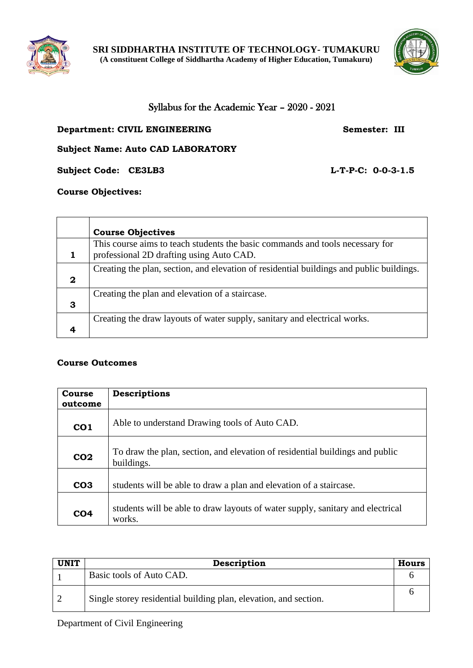

 $\Gamma$ 

**SRI SIDDHARTHA INSTITUTE OF TECHNOLOGY- TUMAKURU (A constituent College of Siddhartha Academy of Higher Education, Tumakuru)**



┑

# Syllabus for the Academic Year – 2020 - 2021

### **Department: CIVIL ENGINEERING Semester: III**

**Subject Name: Auto CAD LABORATORY**

**Subject Code: CE3LB3 L-T-P-C: 0-0-3-1.5**

## **Course Objectives:**

┯

|             | <b>Course Objectives</b>                                                                                                  |
|-------------|---------------------------------------------------------------------------------------------------------------------------|
|             | This course aims to teach students the basic commands and tools necessary for<br>professional 2D drafting using Auto CAD. |
|             | Creating the plan, section, and elevation of residential buildings and public buildings.                                  |
| $\mathbf 2$ |                                                                                                                           |
|             | Creating the plan and elevation of a staircase.                                                                           |
| 3           |                                                                                                                           |
|             | Creating the draw layouts of water supply, sanitary and electrical works.                                                 |
|             |                                                                                                                           |

#### **Course Outcomes**

| Course<br>outcome | Descriptions                                                                               |
|-------------------|--------------------------------------------------------------------------------------------|
| CO <sub>1</sub>   | Able to understand Drawing tools of Auto CAD.                                              |
| CO <sub>2</sub>   | To draw the plan, section, and elevation of residential buildings and public<br>buildings. |
| CO <sub>3</sub>   | students will be able to draw a plan and elevation of a staircase.                         |
| CO <sub>4</sub>   | students will be able to draw layouts of water supply, sanitary and electrical<br>works.   |

| <b>UNIT</b> | Description                                                      | <b>Hours</b> |
|-------------|------------------------------------------------------------------|--------------|
|             | Basic tools of Auto CAD.                                         |              |
|             | Single storey residential building plan, elevation, and section. |              |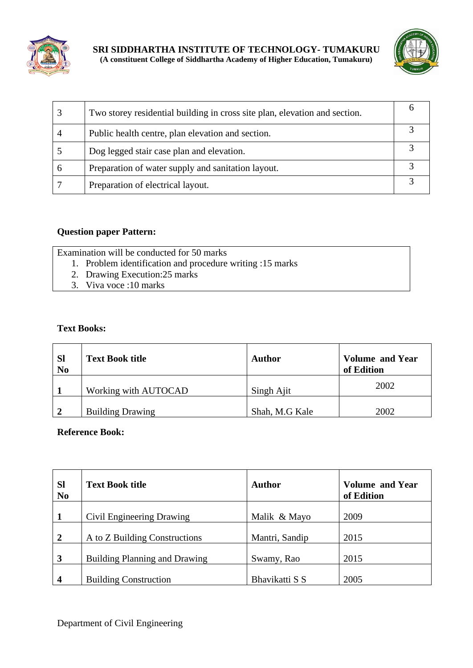



|             | Two storey residential building in cross site plan, elevation and section. |  |
|-------------|----------------------------------------------------------------------------|--|
|             | Public health centre, plan elevation and section.                          |  |
|             | Dog legged stair case plan and elevation.                                  |  |
| $\mathbf b$ | Preparation of water supply and sanitation layout.                         |  |
|             | Preparation of electrical layout.                                          |  |

# **Question paper Pattern:**

Examination will be conducted for 50 marks

- 1. Problem identification and procedure writing :15 marks
- 2. Drawing Execution:25 marks
- 3. Viva voce :10 marks

# **Text Books:**

| <b>SI</b><br>N <sub>0</sub> | <b>Text Book title</b>  | <b>Author</b>  | <b>Volume and Year</b><br>of Edition |
|-----------------------------|-------------------------|----------------|--------------------------------------|
|                             | Working with AUTOCAD    | Singh Ajit     | 2002                                 |
|                             | <b>Building Drawing</b> | Shah, M.G Kale | 2002                                 |

| <b>Sl</b><br>N <sub>0</sub> | <b>Text Book title</b>               | <b>Author</b>  | <b>Volume and Year</b><br>of Edition |
|-----------------------------|--------------------------------------|----------------|--------------------------------------|
| $\mathbf{1}$                | Civil Engineering Drawing            | Malik & Mayo   | 2009                                 |
| $\overline{2}$              | A to Z Building Constructions        | Mantri, Sandip | 2015                                 |
| 3                           | <b>Building Planning and Drawing</b> | Swamy, Rao     | 2015                                 |
| $\overline{\mathbf{4}}$     | <b>Building Construction</b>         | Bhavikatti S S | 2005                                 |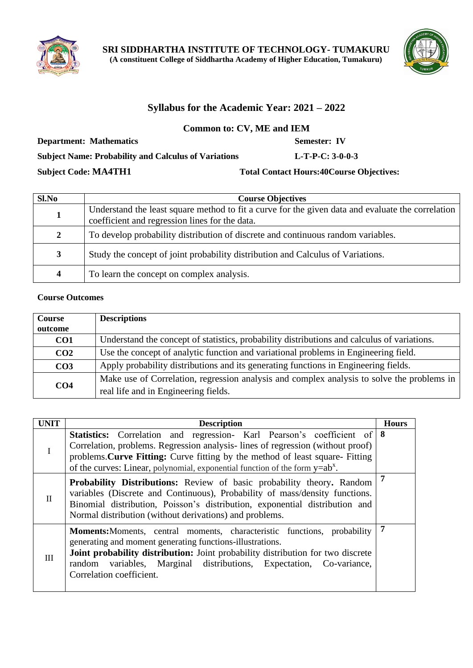



# **Syllabus for the Academic Year: 2021 – 2022**

**Common to: CV, ME and IEM**

**Department: Mathematics Semester: IV** 

**Subject Name: Probability and Calculus of Variations L-T-P-C: 3-0-0-3**

### **Subject Code: MA4TH1 Total Contact Hours:40Course Objectives:**

| Sl.No          | <b>Course Objectives</b>                                                                                                                            |
|----------------|-----------------------------------------------------------------------------------------------------------------------------------------------------|
| 1              | Understand the least square method to fit a curve for the given data and evaluate the correlation<br>coefficient and regression lines for the data. |
| $\overline{2}$ | To develop probability distribution of discrete and continuous random variables.                                                                    |
| 3              | Study the concept of joint probability distribution and Calculus of Variations.                                                                     |
| 4              | To learn the concept on complex analysis.                                                                                                           |

### **Course Outcomes**

| <b>Course</b>   | <b>Descriptions</b>                                                                         |
|-----------------|---------------------------------------------------------------------------------------------|
| outcome         |                                                                                             |
| CO <sub>1</sub> | Understand the concept of statistics, probability distributions and calculus of variations. |
| CO <sub>2</sub> | Use the concept of analytic function and variational problems in Engineering field.         |
| CO <sub>3</sub> | Apply probability distributions and its generating functions in Engineering fields.         |
|                 | Make use of Correlation, regression analysis and complex analysis to solve the problems in  |
| CO <sub>4</sub> | real life and in Engineering fields.                                                        |

| <b>UNIT</b>  | <b>Description</b>                                                                                                                                                                                                                                                                                                                 | <b>Hours</b> |
|--------------|------------------------------------------------------------------------------------------------------------------------------------------------------------------------------------------------------------------------------------------------------------------------------------------------------------------------------------|--------------|
| I            | Statistics: Correlation and regression- Karl Pearson's coefficient of 8<br>Correlation, problems. Regression analysis-lines of regression (without proof)<br>problems. Curve Fitting: Curve fitting by the method of least square- Fitting<br>of the curves: Linear, polynomial, exponential function of the form $y=ab^x$ .       |              |
| $\Pi$        | Probability Distributions: Review of basic probability theory. Random<br>variables (Discrete and Continuous), Probability of mass/density functions.<br>Binomial distribution, Poisson's distribution, exponential distribution and<br>Normal distribution (without derivations) and problems.                                     | 7            |
| $\mathbf{H}$ | <b>Moments:</b> Moments, central moments, characteristic functions, probability<br>generating and moment generating functions-illustrations.<br>Joint probability distribution: Joint probability distribution for two discrete<br>random variables, Marginal distributions, Expectation, Co-variance,<br>Correlation coefficient. | 7            |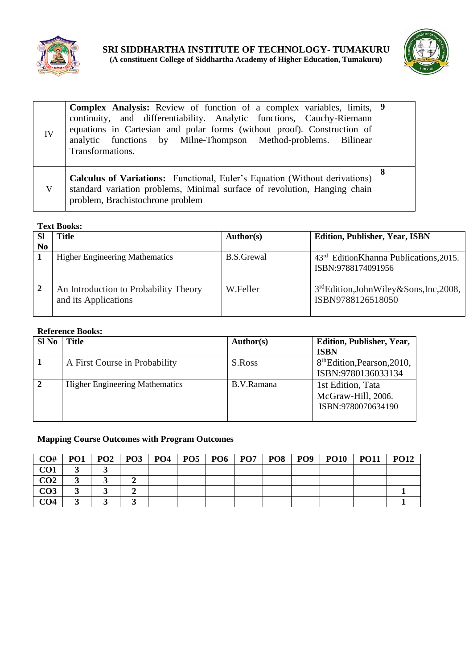



| IV | <b>Complex Analysis:</b> Review of function of a complex variables, limits, 9<br>continuity, and differentiability. Analytic functions, Cauchy-Riemann<br>equations in Cartesian and polar forms (without proof). Construction of<br>analytic functions by Milne-Thompson Method-problems. Bilinear<br>Transformations. |  |
|----|-------------------------------------------------------------------------------------------------------------------------------------------------------------------------------------------------------------------------------------------------------------------------------------------------------------------------|--|
| V  | <b>Calculus of Variations:</b> Functional, Euler's Equation (Without derivations)<br>standard variation problems, Minimal surface of revolution, Hanging chain<br>problem, Brachistochrone problem                                                                                                                      |  |

#### **Text Books:**

|                | Title                                                         | <b>Author(s)</b>  | <b>Edition, Publisher, Year, ISBN</b>                                    |
|----------------|---------------------------------------------------------------|-------------------|--------------------------------------------------------------------------|
| N <sub>0</sub> |                                                               |                   |                                                                          |
|                | <b>Higher Engineering Mathematics</b>                         | <b>B.S.Grewal</b> | 43 <sup>rd</sup> EditionKhanna Publications, 2015.<br>ISBN:9788174091956 |
|                | An Introduction to Probability Theory<br>and its Applications | W.Feller          | 3 <sup>rd</sup> Edition,JohnWiley&Sons,Inc,2008,<br>ISBN9788126518050    |

#### **Reference Books:**

| SI No          | Title                                 | Author(s)  | Edition, Publisher, Year,               |
|----------------|---------------------------------------|------------|-----------------------------------------|
|                |                                       |            | <b>ISBN</b>                             |
|                | A First Course in Probability         | S.Ross     | 8 <sup>th</sup> Edition, Pearson, 2010, |
|                |                                       |            | ISBN:9780136033134                      |
| $\overline{2}$ | <b>Higher Engineering Mathematics</b> | B.V.Ramana | 1st Edition, Tata                       |
|                |                                       |            | McGraw-Hill, 2006.                      |
|                |                                       |            | ISBN:9780070634190                      |
|                |                                       |            |                                         |

#### **Mapping Course Outcomes with Program Outcomes**

| CO#             | PO <sub>1</sub> | PO <sub>2</sub> | PO <sub>3</sub> | <b>PO4</b> | PO <sub>5</sub> | PO <sub>6</sub> | PO <sub>7</sub> | PO <sub>8</sub> | PO <sub>9</sub> | <b>PO10</b> | <b>PO11</b> | <b>PO12</b> |
|-----------------|-----------------|-----------------|-----------------|------------|-----------------|-----------------|-----------------|-----------------|-----------------|-------------|-------------|-------------|
| CO <sub>1</sub> | ັ               |                 |                 |            |                 |                 |                 |                 |                 |             |             |             |
| CO <sub>2</sub> | ັ               |                 |                 |            |                 |                 |                 |                 |                 |             |             |             |
| CO <sub>3</sub> |                 |                 |                 |            |                 |                 |                 |                 |                 |             |             |             |
| CO <sub>4</sub> |                 |                 |                 |            |                 |                 |                 |                 |                 |             |             |             |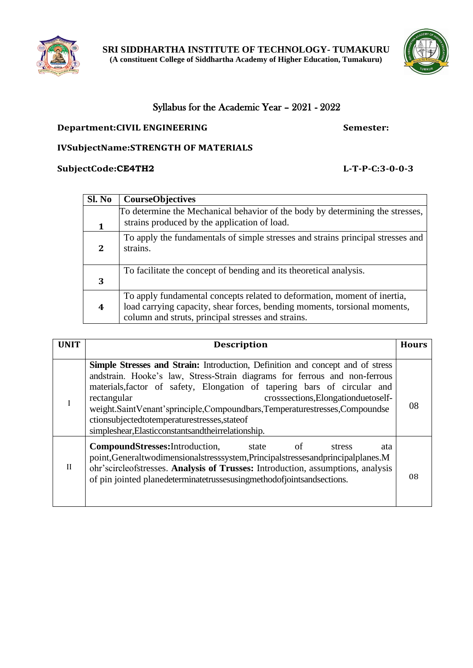



# Syllabus for the Academic Year – 2021 - 2022

# **Department:CIVIL ENGINEERING Semester: Semester:**

## **IVSubjectName:STRENGTH OF MATERIALS**

## **SubjectCode:CE4TH2 L-T-P-C:3-0-0-3**

| Sl. No | <b>CourseObjectives</b>                                                                                                                                                                                     |
|--------|-------------------------------------------------------------------------------------------------------------------------------------------------------------------------------------------------------------|
| 1      | To determine the Mechanical behavior of the body by determining the stresses,<br>strains produced by the application of load.                                                                               |
| 2      | To apply the fundamentals of simple stresses and strains principal stresses and<br>strains.                                                                                                                 |
| 3      | To facilitate the concept of bending and its theoretical analysis.                                                                                                                                          |
| 4      | To apply fundamental concepts related to deformation, moment of inertia,<br>load carrying capacity, shear forces, bending moments, torsional moments,<br>column and struts, principal stresses and strains. |

| <b>UNIT</b>  | <b>Description</b>                                                                                                                                                                                                                                                                                                                                                                                                                                                                          | <b>Hours</b> |
|--------------|---------------------------------------------------------------------------------------------------------------------------------------------------------------------------------------------------------------------------------------------------------------------------------------------------------------------------------------------------------------------------------------------------------------------------------------------------------------------------------------------|--------------|
|              | <b>Simple Stresses and Strain:</b> Introduction, Definition and concept and of stress<br>andstrain. Hooke's law, Stress-Strain diagrams for ferrous and non-ferrous<br>materials, factor of safety, Elongation of tapering bars of circular and<br>crosssections, Elongationduetoself-<br>rectangular<br>weight.SaintVenant'sprinciple,Compoundbars,Temperaturestresses,Compoundse<br>ctionsubjectedtotemperaturestresses, stateof<br>simpleshear, Elasticconstants and their relationship. | 08           |
| $\mathbf{H}$ | <b>CompoundStresses:</b> Introduction,<br>of<br>state<br>stress<br>ata<br>point, General two dimensional stressystem, Principal stresses and principal planes. M<br>ohr'scircleofstresses. Analysis of Trusses: Introduction, assumptions, analysis<br>of pin jointed planedeterminate trusses using methodof joints and sections.                                                                                                                                                          | 08           |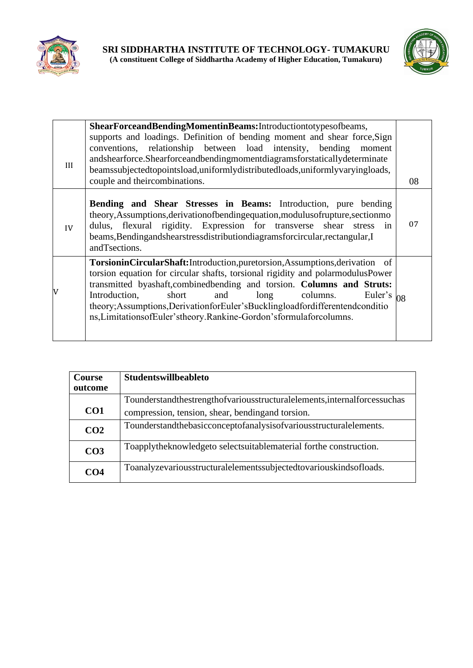



| III | ShearForceandBendingMomentinBeams:Introductiontotypesofbeams,<br>supports and loadings. Definition of bending moment and shear force, Sign<br>conventions, relationship between load intensity, bending<br>moment<br>andshearforce.Shearforceandbendingmomentdiagramsforstaticallydeterminate<br>beamssubjectedtopointsload,uniformlydistributedloads,uniformlyvaryingloads,<br>couple and theircombinations.                                                              | 08 |
|-----|----------------------------------------------------------------------------------------------------------------------------------------------------------------------------------------------------------------------------------------------------------------------------------------------------------------------------------------------------------------------------------------------------------------------------------------------------------------------------|----|
| IV  | <b>Bending and Shear Stresses in Beams:</b> Introduction, pure bending<br>theory, Assumptions, derivation of bending equation, modulus of rupture, section mo<br>dulus, flexural rigidity. Expression for transverse shear stress<br>in<br>beams, Bendingandshearstressdistributiondiagramsforcircular, rectangular, I<br>andTsections.                                                                                                                                    | 07 |
| V   | TorsioninCircularShaft:Introduction,puretorsion,Assumptions,derivation of<br>torsion equation for circular shafts, torsional rigidity and polarmodulusPower<br>transmitted byashaft, combined bending and torsion. Columns and Struts:<br>Introduction,<br>and long columns.<br>short<br>Euler's $_{08}$<br>theory; Assumptions, Derivation for Euler's Buckling loadfor different endconditio<br>ns, Limitations of Euler's theory. Rankine-Gordon's formula for columns. |    |

| <b>Course</b><br>outcome | <b>Studentswillbeableto</b>                                                    |
|--------------------------|--------------------------------------------------------------------------------|
|                          | Tounderstandthestrengthof various structural elements, internal forces such as |
| CO <sub>1</sub>          | compression, tension, shear, bending and torsion.                              |
| CO <sub>2</sub>          | Tounderstandthebasicconceptofanalysisofvariousstructural elements.             |
| CO <sub>3</sub>          | Toapplytheknowledgeto selectsuitablematerial forthe construction.              |
| CO <sub>4</sub>          | Toanalyzevariousstructuralelementssubjectedtovariouskindsofloads.              |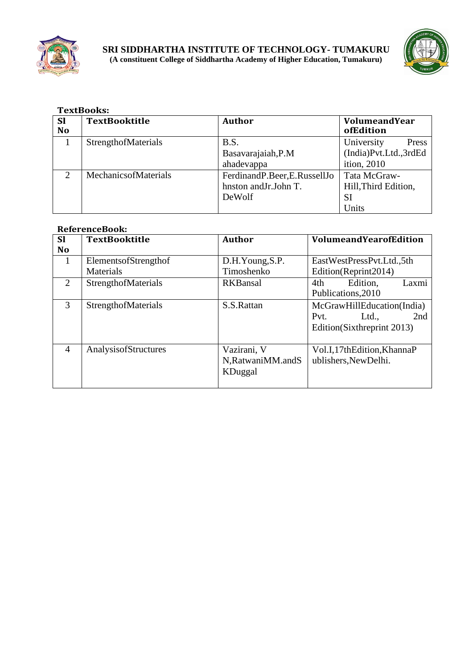



|               | <b>TextBooks:</b>          |                             |                       |  |  |  |  |  |
|---------------|----------------------------|-----------------------------|-----------------------|--|--|--|--|--|
| <b>Sl</b>     | <b>TextBooktitle</b>       | Author                      | VolumeandYear         |  |  |  |  |  |
| <b>No</b>     |                            |                             | ofEdition             |  |  |  |  |  |
|               | <b>StrengthofMaterials</b> | B.S.                        | University<br>Press   |  |  |  |  |  |
|               |                            | Basavarajaiah, P.M          | (India)Pvt.Ltd.,3rdEd |  |  |  |  |  |
|               |                            | ahadevappa                  | ition, 2010           |  |  |  |  |  |
| $\mathcal{D}$ | MechanicsofMaterials       | FerdinandP.Beer,E.RussellJo | Tata McGraw-          |  |  |  |  |  |
|               |                            | hnston and Jr. John T.      | Hill, Third Edition,  |  |  |  |  |  |
|               |                            | DeWolf                      | SI                    |  |  |  |  |  |
|               |                            |                             | Units                 |  |  |  |  |  |

| <b>SI</b>      | <b>TextBooktitle</b>       | <b>Author</b>       | <b>VolumeandYearofEdition</b> |  |
|----------------|----------------------------|---------------------|-------------------------------|--|
| <b>No</b>      |                            |                     |                               |  |
| 1              | Elements of Strength of    | D.H.Young, S.P.     | EastWestPressPvt.Ltd.,5th     |  |
|                | Materials                  | Timoshenko          | Edition(Reprint2014)          |  |
| 2              | StrengthofMaterials        | <b>RKBansal</b>     | Edition.<br>4th<br>Laxmi      |  |
|                |                            |                     | Publications, 2010            |  |
| 3              | <b>StrengthofMaterials</b> | S.S.Rattan          | McGrawHillEducation(India)    |  |
|                |                            |                     | 2nd<br>Pvt.<br>Ltd.,          |  |
|                |                            |                     | Edition(Sixthreprint 2013)    |  |
|                |                            |                     |                               |  |
| $\overline{A}$ | AnalysisofStructures       | Vazirani, V         | Vol.I,17thEdition,KhannaP     |  |
|                |                            | N, Ratwani MM.and S | ublishers, New Delhi.         |  |
|                |                            | <b>KDuggal</b>      |                               |  |
|                |                            |                     |                               |  |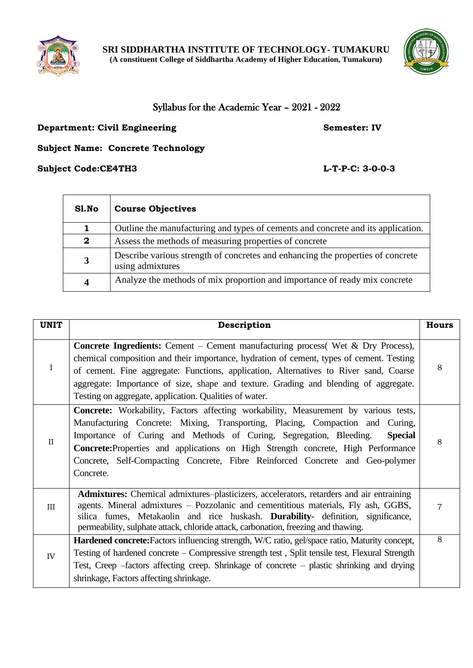



# Syllabus for the Academic Year – 2021 - 2022

## **Department: Civil Engineering <b>Semester: IV** Semester: IV

**Subject Name: Concrete Technology**

# **Subject Code:CE4TH3 L-T-P-C: 3-0-0-3**

| Sl.No        | <b>Course Objectives</b>                                                                            |  |  |
|--------------|-----------------------------------------------------------------------------------------------------|--|--|
|              | Outline the manufacturing and types of cements and concrete and its application.                    |  |  |
| $\mathbf{2}$ | Assess the methods of measuring properties of concrete                                              |  |  |
| 3            | Describe various strength of concretes and enhancing the properties of concrete<br>using admixtures |  |  |
| 4            | Analyze the methods of mix proportion and importance of ready mix concrete                          |  |  |

| <b>UNIT</b>  | Description                                                                                                                                                                                                                                                                                                                                                                                                                                            | <b>Hours</b> |
|--------------|--------------------------------------------------------------------------------------------------------------------------------------------------------------------------------------------------------------------------------------------------------------------------------------------------------------------------------------------------------------------------------------------------------------------------------------------------------|--------------|
| $\bf{I}$     | <b>Concrete Ingredients:</b> Cement – Cement manufacturing process( Wet $\&$ Dry Process),<br>chemical composition and their importance, hydration of cement, types of cement. Testing<br>of cement. Fine aggregate: Functions, application, Alternatives to River sand, Coarse<br>aggregate: Importance of size, shape and texture. Grading and blending of aggregate.<br>Testing on aggregate, application. Qualities of water.                      | 8            |
| $\mathbf{I}$ | <b>Concrete:</b> Workability, Factors affecting workability, Measurement by various tests,<br>Manufacturing Concrete: Mixing, Transporting, Placing, Compaction and Curing,<br>Importance of Curing and Methods of Curing, Segregation, Bleeding.<br><b>Special</b><br>Concrete: Properties and applications on High Strength concrete, High Performance<br>Concrete, Self-Compacting Concrete, Fibre Reinforced Concrete and Geo-polymer<br>Concrete. | 8            |
| III          | Admixtures: Chemical admixtures-plasticizers, accelerators, retarders and air entraining<br>agents. Mineral admixtures – Pozzolanic and cementitious materials, Fly ash, GGBS,<br>silica fumes, Metakaolin and rice huskash. Durability- definition, significance,<br>permeability, sulphate attack, chloride attack, carbonation, freezing and thawing.                                                                                               | 7            |
| IV           | Hardened concrete: Factors influencing strength, W/C ratio, gel/space ratio, Maturity concept,<br>Testing of hardened concrete – Compressive strength test, Split tensile test, Flexural Strength<br>Test, Creep -factors affecting creep. Shrinkage of concrete - plastic shrinking and drying<br>shrinkage, Factors affecting shrinkage.                                                                                                             | 8            |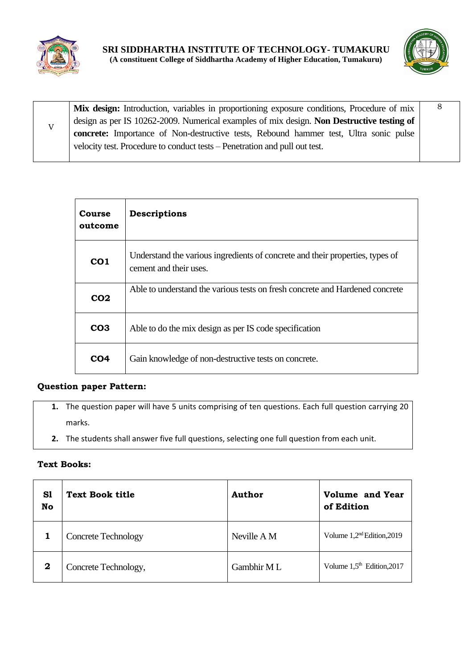



V **Mix design:** Introduction, variables in proportioning exposure conditions, Procedure of mix design as per IS 10262-2009. Numerical examples of mix design. **Non Destructive testing of concrete:** Importance of Non-destructive tests, Rebound hammer test, Ultra sonic pulse velocity test. Procedure to conduct tests – Penetration and pull out test. 8

| Course<br>outcome | Descriptions                                                                                            |
|-------------------|---------------------------------------------------------------------------------------------------------|
| CO <sub>1</sub>   | Understand the various ingredients of concrete and their properties, types of<br>cement and their uses. |
| CO <sub>2</sub>   | Able to understand the various tests on fresh concrete and Hardened concrete                            |
| CO <sub>3</sub>   | Able to do the mix design as per IS code specification                                                  |
| CO <sub>4</sub>   | Gain knowledge of non-destructive tests on concrete.                                                    |

# **Question paper Pattern:**

- **1.** The question paper will have 5 units comprising of ten questions. Each full question carrying 20 marks.
- **2.** The students shall answer five full questions, selecting one full question from each unit.

#### **Text Books:**

| S1<br>No | <b>Text Book title</b>     | Author      | <b>Volume and Year</b><br>of Edition  |
|----------|----------------------------|-------------|---------------------------------------|
|          | <b>Concrete Technology</b> | Neville A M | Volume 1,2 <sup>nd</sup> Edition,2019 |
| 2        | Concrete Technology,       | Gambhir ML  | Volume $1.5th$ Edition, 2017          |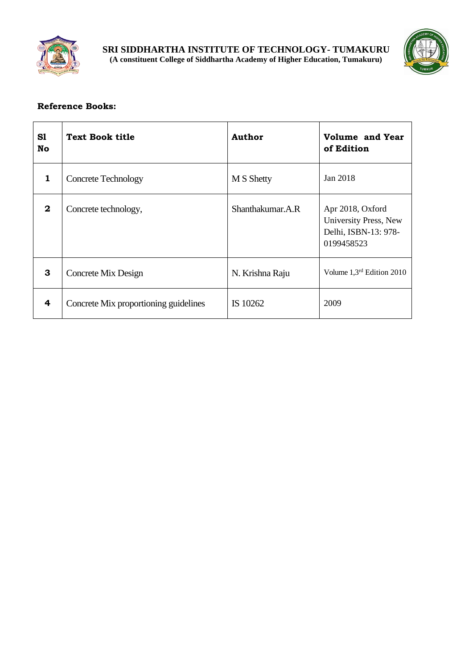



| S1<br>No     | Text Book title                       | <b>Author</b>    | <b>Volume and Year</b><br>of Edition                                            |
|--------------|---------------------------------------|------------------|---------------------------------------------------------------------------------|
| 1            | <b>Concrete Technology</b>            | M S Shetty       | Jan 2018                                                                        |
| $\mathbf{2}$ | Concrete technology,                  | Shanthakumar.A.R | Apr 2018, Oxford<br>University Press, New<br>Delhi, ISBN-13: 978-<br>0199458523 |
| 3            | Concrete Mix Design                   | N. Krishna Raju  | Volume 1,3rd Edition 2010                                                       |
| 4            | Concrete Mix proportioning guidelines | IS 10262         | 2009                                                                            |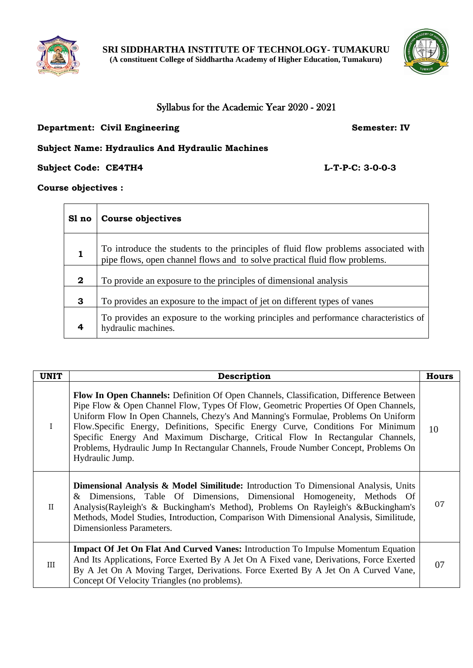



# Syllabus for the Academic Year 2020 - 2021

## **Department: Civil Engineering <b>Semester: IV** Semester: IV

## **Subject Name: Hydraulics And Hydraulic Machines**

**Subject Code: CE4TH4 L-T-P-C: 3-0-0-3**

**Course objectives :**

| Sl no    | Course objectives                                                                                                                                                |
|----------|------------------------------------------------------------------------------------------------------------------------------------------------------------------|
|          | To introduce the students to the principles of fluid flow problems associated with<br>pipe flows, open channel flows and to solve practical fluid flow problems. |
| $\bf{2}$ | To provide an exposure to the principles of dimensional analysis                                                                                                 |
| 3        | To provides an exposure to the impact of jet on different types of vanes                                                                                         |
| 4        | To provides an exposure to the working principles and performance characteristics of<br>hydraulic machines.                                                      |

| <b>UNIT</b>  | Description                                                                                                                                                                                                                                                                                                                                                                                                                                                                                                                                                 | <b>Hours</b> |
|--------------|-------------------------------------------------------------------------------------------------------------------------------------------------------------------------------------------------------------------------------------------------------------------------------------------------------------------------------------------------------------------------------------------------------------------------------------------------------------------------------------------------------------------------------------------------------------|--------------|
| $\bf{I}$     | <b>Flow In Open Channels:</b> Definition Of Open Channels, Classification, Difference Between<br>Pipe Flow & Open Channel Flow, Types Of Flow, Geometric Properties Of Open Channels,<br>Uniform Flow In Open Channels, Chezy's And Manning's Formulae, Problems On Uniform<br>Flow.Specific Energy, Definitions, Specific Energy Curve, Conditions For Minimum<br>Specific Energy And Maximum Discharge, Critical Flow In Rectangular Channels,<br>Problems, Hydraulic Jump In Rectangular Channels, Froude Number Concept, Problems On<br>Hydraulic Jump. | 10           |
| $\mathbf{I}$ | <b>Dimensional Analysis &amp; Model Similitude:</b> Introduction To Dimensional Analysis, Units<br>& Dimensions, Table Of Dimensions, Dimensional Homogeneity, Methods Of<br>Analysis(Rayleigh's & Buckingham's Method), Problems On Rayleigh's &Buckingham's<br>Methods, Model Studies, Introduction, Comparison With Dimensional Analysis, Similitude,<br>Dimensionless Parameters.                                                                                                                                                                       | 07           |
| III          | Impact Of Jet On Flat And Curved Vanes: Introduction To Impulse Momentum Equation<br>And Its Applications, Force Exerted By A Jet On A Fixed vane, Derivations, Force Exerted<br>By A Jet On A Moving Target, Derivations. Force Exerted By A Jet On A Curved Vane,<br>Concept Of Velocity Triangles (no problems).                                                                                                                                                                                                                                         | 07           |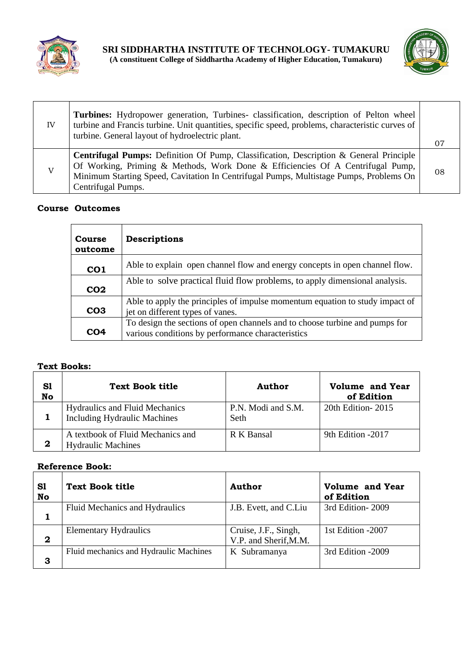



| IV | Turbines: Hydropower generation, Turbines- classification, description of Pelton wheel<br>turbine and Francis turbine. Unit quantities, specific speed, problems, characteristic curves of<br>turbine. General layout of hydroelectric plant.                                                   |    |
|----|-------------------------------------------------------------------------------------------------------------------------------------------------------------------------------------------------------------------------------------------------------------------------------------------------|----|
|    |                                                                                                                                                                                                                                                                                                 | 07 |
| V  | <b>Centrifugal Pumps:</b> Definition Of Pump, Classification, Description & General Principle<br>Of Working, Priming & Methods, Work Done & Efficiencies Of A Centrifugal Pump,<br>Minimum Starting Speed, Cavitation In Centrifugal Pumps, Multistage Pumps, Problems On<br>Centrifugal Pumps. | 08 |

| <b>Course</b><br>outcome | Descriptions                                                                                                                     |
|--------------------------|----------------------------------------------------------------------------------------------------------------------------------|
| CO <sub>1</sub>          | Able to explain open channel flow and energy concepts in open channel flow.                                                      |
| CO <sub>2</sub>          | Able to solve practical fluid flow problems, to apply dimensional analysis.                                                      |
| CO <sub>3</sub>          | Able to apply the principles of impulse momentum equation to study impact of<br>jet on different types of vanes.                 |
| CO <sub>4</sub>          | To design the sections of open channels and to choose turbine and pumps for<br>various conditions by performance characteristics |

#### **Text Books:**

| S1<br>No | Text Book title                                                              | Author                     | <b>Volume and Year</b><br>of Edition |
|----------|------------------------------------------------------------------------------|----------------------------|--------------------------------------|
|          | <b>Hydraulics and Fluid Mechanics</b><br><b>Including Hydraulic Machines</b> | P.N. Modi and S.M.<br>Seth | 20th Edition - 2015                  |
|          | A textbook of Fluid Mechanics and<br><b>Hydraulic Machines</b>               | R K Bansal                 | 9th Edition -2017                    |

| S1<br>No    | Text Book title                        | Author                                        | <b>Volume and Year</b><br>of Edition |
|-------------|----------------------------------------|-----------------------------------------------|--------------------------------------|
|             | Fluid Mechanics and Hydraulics         | J.B. Evett, and C.Liu                         | 3rd Edition-2009                     |
| $\mathbf 2$ | <b>Elementary Hydraulics</b>           | Cruise, J.F., Singh,<br>V.P. and Sherif, M.M. | 1st Edition -2007                    |
| 3           | Fluid mechanics and Hydraulic Machines | K Subramanya                                  | 3rd Edition -2009                    |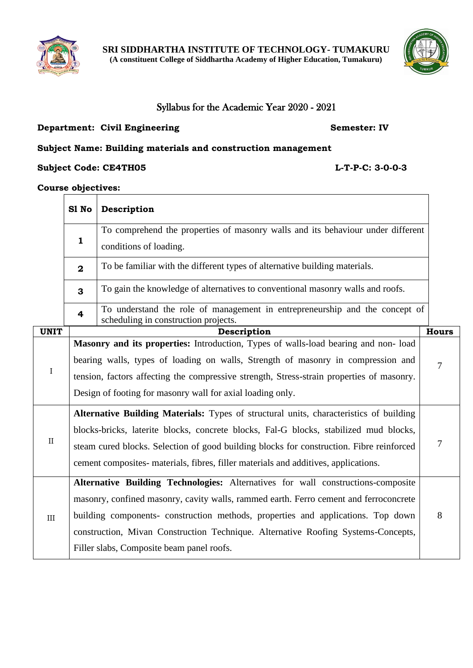



# Syllabus for the Academic Year 2020 - 2021

### **Department: Civil Engineering Semester: IV**

# **Subject Name: Building materials and construction management**

#### **Subject Code: CE4TH05 L-T-P-C: 3-0-0-3**

Τ

# **Course objectives:**

|              | S1 No                                                                                                                                                                                                                                                                                                                                                                                           | Description                                                                                                                                                                                                                                                                                                                       |                |  |
|--------------|-------------------------------------------------------------------------------------------------------------------------------------------------------------------------------------------------------------------------------------------------------------------------------------------------------------------------------------------------------------------------------------------------|-----------------------------------------------------------------------------------------------------------------------------------------------------------------------------------------------------------------------------------------------------------------------------------------------------------------------------------|----------------|--|
|              | $\mathbf{1}$                                                                                                                                                                                                                                                                                                                                                                                    | To comprehend the properties of masonry walls and its behaviour under different<br>conditions of loading.                                                                                                                                                                                                                         |                |  |
|              | To be familiar with the different types of alternative building materials.<br>$\mathbf{2}$                                                                                                                                                                                                                                                                                                      |                                                                                                                                                                                                                                                                                                                                   |                |  |
|              | To gain the knowledge of alternatives to conventional masonry walls and roofs.<br>3                                                                                                                                                                                                                                                                                                             |                                                                                                                                                                                                                                                                                                                                   |                |  |
|              | $\overline{\mathbf{4}}$                                                                                                                                                                                                                                                                                                                                                                         | To understand the role of management in entrepreneurship and the concept of<br>scheduling in construction projects.                                                                                                                                                                                                               |                |  |
| <b>UNIT</b>  |                                                                                                                                                                                                                                                                                                                                                                                                 | Description                                                                                                                                                                                                                                                                                                                       | <b>Hours</b>   |  |
| I            |                                                                                                                                                                                                                                                                                                                                                                                                 | Masonry and its properties: Introduction, Types of walls-load bearing and non-load<br>bearing walls, types of loading on walls, Strength of masonry in compression and<br>tension, factors affecting the compressive strength, Stress-strain properties of masonry.<br>Design of footing for masonry wall for axial loading only. | $\overline{7}$ |  |
| $\mathbf{I}$ | Alternative Building Materials: Types of structural units, characteristics of building<br>blocks-bricks, laterite blocks, concrete blocks, Fal-G blocks, stabilized mud blocks,<br>7<br>steam cured blocks. Selection of good building blocks for construction. Fibre reinforced<br>cement composites- materials, fibres, filler materials and additives, applications.                         |                                                                                                                                                                                                                                                                                                                                   |                |  |
| III          | Alternative Building Technologies: Alternatives for wall constructions-composite<br>masonry, confined masonry, cavity walls, rammed earth. Ferro cement and ferroconcrete<br>building components- construction methods, properties and applications. Top down<br>construction, Mivan Construction Technique. Alternative Roofing Systems-Concepts,<br>Filler slabs, Composite beam panel roofs. |                                                                                                                                                                                                                                                                                                                                   |                |  |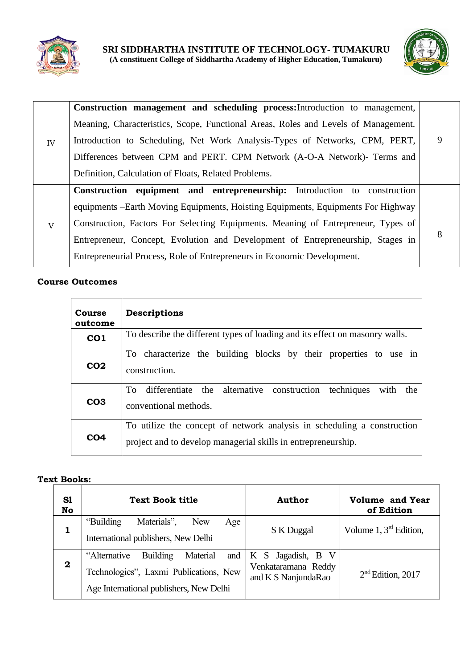



|    | Construction management and scheduling process: Introduction to management,        |   |
|----|------------------------------------------------------------------------------------|---|
|    |                                                                                    |   |
|    | Meaning, Characteristics, Scope, Functional Areas, Roles and Levels of Management. |   |
| IV | Introduction to Scheduling, Net Work Analysis-Types of Networks, CPM, PERT,        | 9 |
|    | Differences between CPM and PERT. CPM Network (A-O-A Network)- Terms and           |   |
|    | Definition, Calculation of Floats, Related Problems.                               |   |
|    | Construction equipment and entrepreneurship: Introduction to construction          |   |
|    | equipments – Earth Moving Equipments, Hoisting Equipments, Equipments For Highway  |   |
| V  | Construction, Factors For Selecting Equipments. Meaning of Entrepreneur, Types of  |   |
|    | Entrepreneur, Concept, Evolution and Development of Entrepreneurship, Stages in    | 8 |
|    | Entrepreneurial Process, Role of Entrepreneurs in Economic Development.            |   |

| Course<br>outcome | Descriptions                                                                                                                             |  |
|-------------------|------------------------------------------------------------------------------------------------------------------------------------------|--|
| CO <sub>1</sub>   | To describe the different types of loading and its effect on masonry walls.                                                              |  |
| CO <sub>2</sub>   | To characterize the building blocks by their properties to use in<br>construction.                                                       |  |
| CO <sub>3</sub>   | differentiate the alternative construction techniques<br>To<br>with<br>the<br>conventional methods.                                      |  |
| CO <sub>4</sub>   | To utilize the concept of network analysis in scheduling a construction<br>project and to develop managerial skills in entrepreneurship. |  |

#### **Text Books:**

| S1<br>No     | <b>Text Book title</b>                                                                                                                  | <b>Author</b>                                                   | <b>Volume and Year</b><br>of Edition |
|--------------|-----------------------------------------------------------------------------------------------------------------------------------------|-----------------------------------------------------------------|--------------------------------------|
|              | Materials",<br>"Building"<br><b>New</b><br>Age<br>International publishers, New Delhi                                                   | S K Duggal                                                      | Volume $1, 3rd$ Edition,             |
| $\mathbf{2}$ | <b>Building</b><br>Material<br>"Alternative<br>and<br>Technologies", Laxmi Publications, New<br>Age International publishers, New Delhi | K S Jagadish, B V<br>Venkataramana Reddy<br>and K S NanjundaRao | $2nd$ Edition, 2017                  |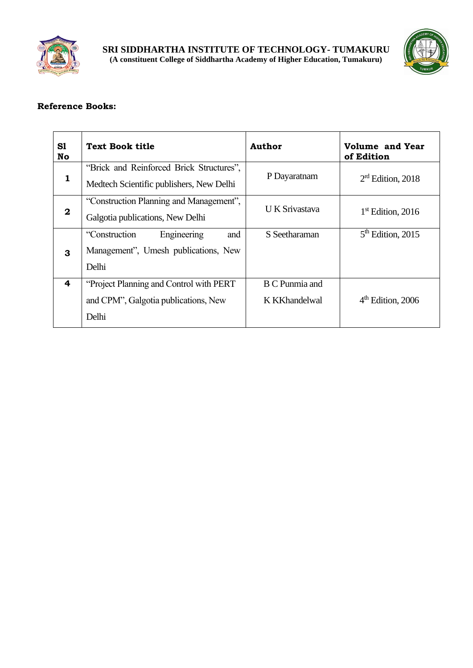



| S1<br>No     | <b>Text Book title</b>                                                               | Author                | <b>Volume and Year</b><br>of Edition |
|--------------|--------------------------------------------------------------------------------------|-----------------------|--------------------------------------|
| 1            | "Brick and Reinforced Brick Structures",<br>Medtech Scientific publishers, New Delhi | P Dayaratnam          | $2rd$ Edition, 2018                  |
| $\mathbf{2}$ | "Construction Planning and Management",<br>Galgotia publications, New Delhi          | <b>UK</b> Srivastava  | $1st$ Edition, 2016                  |
|              | "Construction"<br>and<br>Engineering                                                 | S Seetharaman         | $5th$ Edition, 2015                  |
| 3            | Management", Umesh publications, New                                                 |                       |                                      |
|              | Delhi                                                                                |                       |                                      |
| 4            | "Project Planning and Control with PERT"                                             | <b>B C Punmia and</b> |                                      |
|              | and CPM", Galgotia publications, New                                                 | K KKhandelwal         | $4th$ Edition, 2006                  |
|              | Delhi                                                                                |                       |                                      |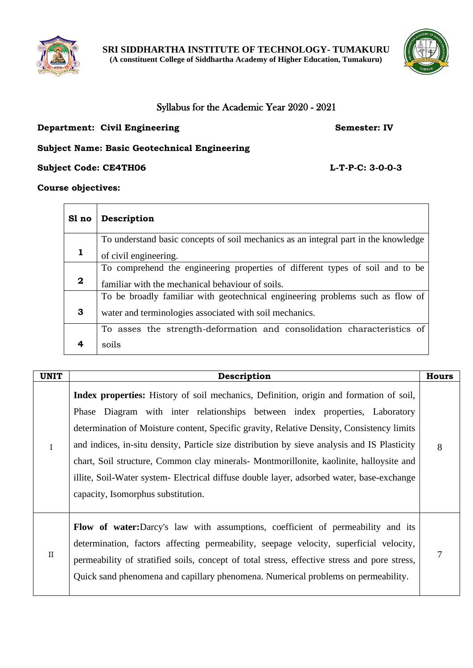



# Syllabus for the Academic Year 2020 - 2021

## **Department: Civil Engineering Semester: IV**

# **Subject Name: Basic Geotechnical Engineering**

**Subject Code: CE4TH06 L-T-P-C: 3-0-0-3** 

## **Course objectives:**

| Sl no       | Description                                                                         |  |  |
|-------------|-------------------------------------------------------------------------------------|--|--|
|             | To understand basic concepts of soil mechanics as an integral part in the knowledge |  |  |
|             | of civil engineering.                                                               |  |  |
|             | To comprehend the engineering properties of different types of soil and to be       |  |  |
| $\mathbf 2$ | familiar with the mechanical behaviour of soils.                                    |  |  |
|             | To be broadly familiar with geotechnical engineering problems such as flow of       |  |  |
| 3           | water and terminologies associated with soil mechanics.                             |  |  |
|             | To asses the strength-deformation and consolidation characteristics of              |  |  |
|             | soils                                                                               |  |  |

| <b>UNIT</b> | Description                                                                                                                                                                                                                                                                                                                                                                                                                                                                                                                                                                                             | <b>Hours</b> |
|-------------|---------------------------------------------------------------------------------------------------------------------------------------------------------------------------------------------------------------------------------------------------------------------------------------------------------------------------------------------------------------------------------------------------------------------------------------------------------------------------------------------------------------------------------------------------------------------------------------------------------|--------------|
| $\rm I$     | <b>Index properties:</b> History of soil mechanics, Definition, origin and formation of soil,<br>Phase Diagram with inter relationships between index properties, Laboratory<br>determination of Moisture content, Specific gravity, Relative Density, Consistency limits<br>and indices, in-situ density, Particle size distribution by sieve analysis and IS Plasticity<br>chart, Soil structure, Common clay minerals- Montmorillonite, kaolinite, halloysite and<br>illite, Soil-Water system- Electrical diffuse double layer, adsorbed water, base-exchange<br>capacity, Isomorphus substitution. | 8            |
| $\rm II$    | <b>Flow of water:</b> Darcy's law with assumptions, coefficient of permeability and its<br>determination, factors affecting permeability, seepage velocity, superficial velocity,<br>permeability of stratified soils, concept of total stress, effective stress and pore stress,<br>Quick sand phenomena and capillary phenomena. Numerical problems on permeability.                                                                                                                                                                                                                                  | 7            |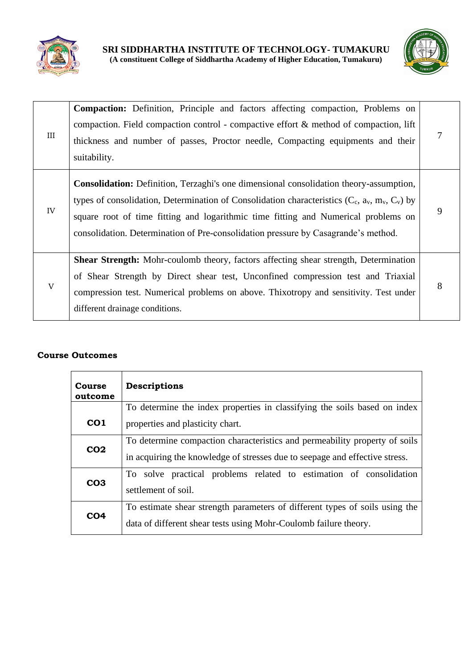



| III | <b>Compaction:</b> Definition, Principle and factors affecting compaction, Problems on<br>compaction. Field compaction control - compactive effort $\&$ method of compaction, lift<br>thickness and number of passes, Proctor needle, Compacting equipments and their<br>suitability.                                                                                         |   |
|-----|-------------------------------------------------------------------------------------------------------------------------------------------------------------------------------------------------------------------------------------------------------------------------------------------------------------------------------------------------------------------------------|---|
| IV  | <b>Consolidation:</b> Definition, Terzaghi's one dimensional consolidation theory-assumption,<br>types of consolidation, Determination of Consolidation characteristics $(C_c, a_v, m_v, C_v)$ by<br>square root of time fitting and logarithmic time fitting and Numerical problems on<br>consolidation. Determination of Pre-consolidation pressure by Casagrande's method. | 9 |
| V   | <b>Shear Strength:</b> Mohr-coulomb theory, factors affecting shear strength, Determination<br>of Shear Strength by Direct shear test, Unconfined compression test and Triaxial<br>compression test. Numerical problems on above. Thixotropy and sensitivity. Test under<br>different drainage conditions.                                                                    | 8 |

| <b>Course</b><br>outcome                                                                                                                                           | Descriptions                                                                                                                                              |  |  |
|--------------------------------------------------------------------------------------------------------------------------------------------------------------------|-----------------------------------------------------------------------------------------------------------------------------------------------------------|--|--|
|                                                                                                                                                                    | To determine the index properties in classifying the soils based on index                                                                                 |  |  |
| CO <sub>1</sub>                                                                                                                                                    | properties and plasticity chart.                                                                                                                          |  |  |
| CO <sub>2</sub>                                                                                                                                                    | To determine compaction characteristics and permeability property of soils<br>in acquiring the knowledge of stresses due to seepage and effective stress. |  |  |
| CO <sub>3</sub>                                                                                                                                                    | To solve practical problems related to estimation of consolidation<br>settlement of soil.                                                                 |  |  |
| To estimate shear strength parameters of different types of soils using the<br>CO <sub>4</sub><br>data of different shear tests using Mohr-Coulomb failure theory. |                                                                                                                                                           |  |  |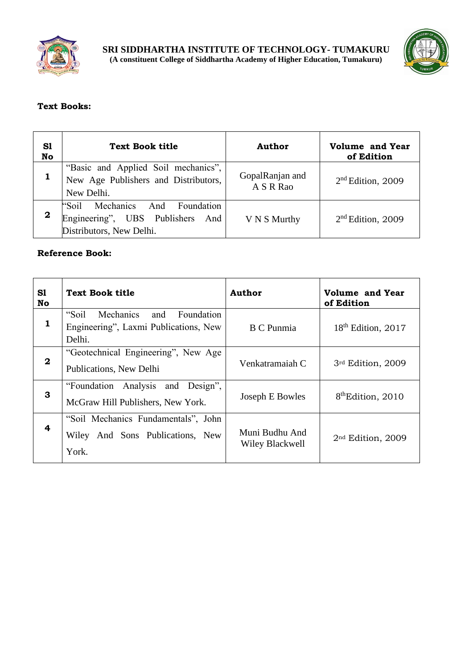



# **Text Books:**

| S1<br>No    | <b>Text Book title</b>                                                                         | <b>Author</b>                | <b>Volume and Year</b><br>of Edition |
|-------------|------------------------------------------------------------------------------------------------|------------------------------|--------------------------------------|
|             | "Basic and Applied Soil mechanics",<br>New Age Publishers and Distributors,<br>New Delhi.      | GopalRanjan and<br>A S R Rao | $2nd$ Edition, 2009                  |
| $\mathbf 2$ | "Soil Mechanics And Foundation<br>Engineering", UBS Publishers And<br>Distributors, New Delhi. | V N S Murthy                 | $2nd$ Edition, 2009                  |

| S1<br>No         | Text Book title                                                                            | Author                            | Volume and Year<br>of Edition  |
|------------------|--------------------------------------------------------------------------------------------|-----------------------------------|--------------------------------|
| 1                | "Soil<br>Mechanics<br>Foundation<br>and<br>Engineering", Laxmi Publications, New<br>Delhi. | <b>B</b> C Punmia                 | 18 <sup>th</sup> Edition, 2017 |
| $\boldsymbol{2}$ | "Geotechnical Engineering", New Age<br>Publications, New Delhi                             | Venkatramaiah C                   | 3rd Edition, 2009              |
| 3                | "Foundation Analysis and Design",<br>McGraw Hill Publishers, New York.                     | Joseph E Bowles                   | 8 <sup>th</sup> Edition, 2010  |
| 4                | "Soil Mechanics Fundamentals", John<br>Wiley And Sons Publications, New<br>York.           | Muni Budhu And<br>Wiley Blackwell | 2 <sup>nd</sup> Edition, 2009  |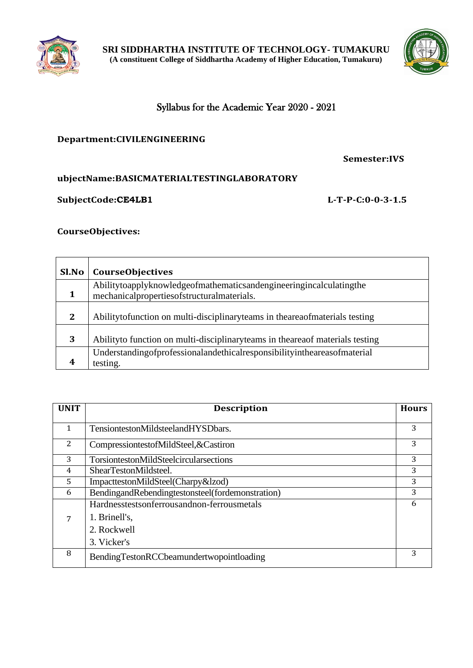



# Syllabus for the Academic Year 2020 - 2021

### **Department:CIVILENGINEERING**

**Semester:IVS**

# **ubjectName:BASICMATERIALTESTINGLABORATORY**

#### **SubjectCode:CE4LB1 L-T-P-C:0-0-3-1.5**

## **CourseObjectives:**

| Sl.No        | <b>CourseObjectives</b>                                                                                          |
|--------------|------------------------------------------------------------------------------------------------------------------|
|              | Abilitytoapplyknowledgeofmathematicsandengineeringincalculatingthe<br>mechanicalpropertiesofstructuralmaterials. |
| $\mathbf{2}$ | Abilitytofunction on multi-disciplinaryteams in the area of materials testing                                    |
| 3            | Abilityto function on multi-disciplinaryteams in the area of materials testing                                   |
|              | Understanding of professional and ethical responsibility in the areas of material<br>testing.                    |

| <b>UNIT</b> | <b>Description</b>                               | <b>Hours</b> |
|-------------|--------------------------------------------------|--------------|
|             |                                                  |              |
| 1           | TensiontestonMildsteelandHYSDbars.               | 3            |
| 2           | CompressiontestofMildSteel, & Castiron           | 3            |
| 3           | TorsiontestonMildSteelcircularsections           | 3            |
| 4           | ShearTestonMildsteel.                            | 3            |
| 5           | ImpacttestonMildSteel(Charpy&lzod)               | 3            |
| 6           | BendingandRebendingtestonsteel(fordemonstration) | 3            |
|             | Hardnesstestsonferrousandnon-ferrousmetals       | 6            |
| 7           | 1. Brinell's,                                    |              |
|             | 2. Rockwell                                      |              |
|             | 3. Vicker's                                      |              |
| 8           | BendingTestonRCCbeamundertwopointloading         | 3            |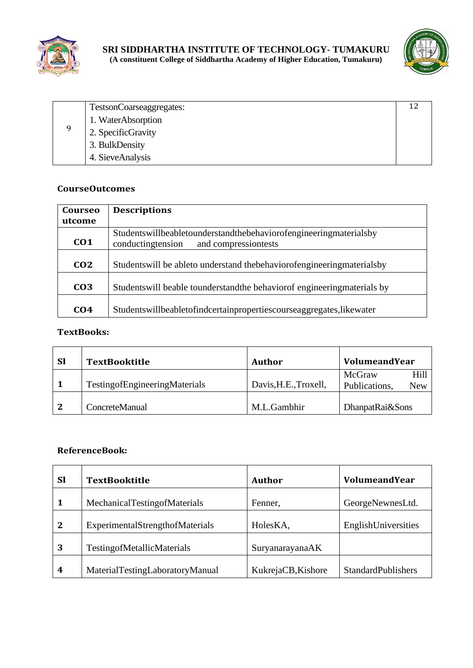



|   | TestsonCoarseaggregates: |  |
|---|--------------------------|--|
| q | 1. WaterAbsorption       |  |
|   | 2. SpecificGravity       |  |
|   | 3. BulkDensity           |  |
|   | 4. SieveAnalysis         |  |

| Courseo         | <b>Descriptions</b>                                                                                                 |  |
|-----------------|---------------------------------------------------------------------------------------------------------------------|--|
| utcome          |                                                                                                                     |  |
| CO <sub>1</sub> | Studentswillbeabletounderstandthebehavior of engineering materials by<br>conducting tension<br>and compressiontests |  |
| CO <sub>2</sub> | Students will be able to understand the behavior of engineering materials by                                        |  |
| CO <sub>3</sub> | Students will be able to understand the behavior of engineering materials by                                        |  |
| C <sub>04</sub> | Studentswillbeabletofindcertainpropertiescourseaggregates, likewater                                                |  |

#### **TextBooks:**

| <b>Sl</b>    | <b>TextBooktitle</b>                 | Author                | <b>VolumeandYear</b>                   |
|--------------|--------------------------------------|-----------------------|----------------------------------------|
|              | <b>TestingofEngineeringMaterials</b> | Davis, H.E., Troxell, | McGraw<br>Hill<br>Publications,<br>New |
| $\mathbf{2}$ | ConcreteManual                       | M.L.Gambhir           | DhanpatRai&Sons                        |

| <b>Sl</b>    | <b>TextBooktitle</b>              | Author             | VolumeandYear             |
|--------------|-----------------------------------|--------------------|---------------------------|
| 1            | MechanicalTestingofMaterials      | Fenner,            | GeorgeNewnesLtd.          |
| $\mathbf{2}$ | ExperimentalStrengthofMaterials   | HolesKA,           | EnglishUniversities       |
| 3            | <b>TestingofMetallicMaterials</b> | SuryanarayanaAK    |                           |
| 4            | MaterialTestingLaboratoryManual   | KukrejaCB, Kishore | <b>StandardPublishers</b> |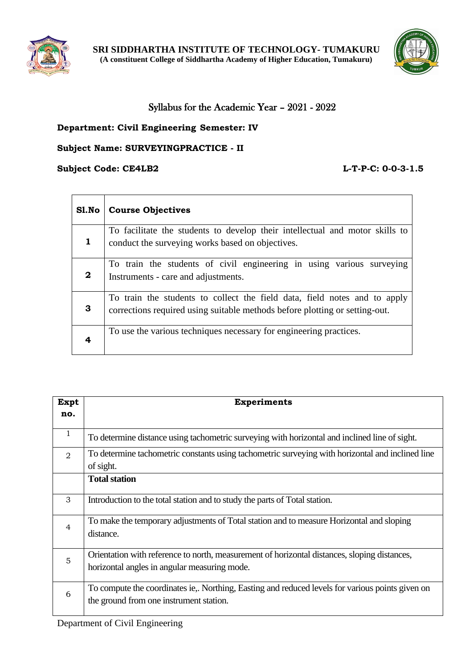



# Syllabus for the Academic Year – 2021 - 2022

# **Department: Civil Engineering Semester: IV**

## **Subject Name: SURVEYINGPRACTICE - II**

## **Subject Code: CE4LB2 L-T-P-C: 0-0-3-1.5**

| Sl.No            | <b>Course Objectives</b>                                                                                                                                 |
|------------------|----------------------------------------------------------------------------------------------------------------------------------------------------------|
| 1                | To facilitate the students to develop their intellectual and motor skills to<br>conduct the surveying works based on objectives.                         |
| $\boldsymbol{2}$ | To train the students of civil engineering in using various surveying<br>Instruments - care and adjustments.                                             |
| 3                | To train the students to collect the field data, field notes and to apply<br>corrections required using suitable methods before plotting or setting-out. |
| 4                | To use the various techniques necessary for engineering practices.                                                                                       |

| Expt           | <b>Experiments</b>                                                                               |  |  |
|----------------|--------------------------------------------------------------------------------------------------|--|--|
| no.            |                                                                                                  |  |  |
| 1              | To determine distance using tachometric surveying with horizontal and inclined line of sight.    |  |  |
| 2              | To determine tachometric constants using tachometric surveying with horizontal and inclined line |  |  |
|                | of sight.                                                                                        |  |  |
|                | <b>Total station</b>                                                                             |  |  |
| 3              | Introduction to the total station and to study the parts of Total station.                       |  |  |
| $\overline{4}$ | To make the temporary adjustments of Total station and to measure Horizontal and sloping         |  |  |
|                | distance.                                                                                        |  |  |
| 5              | Orientation with reference to north, measurement of horizontal distances, sloping distances,     |  |  |
|                | horizontal angles in angular measuring mode.                                                     |  |  |
| 6              | To compute the coordinates ie,. Northing, Easting and reduced levels for various points given on |  |  |
|                | the ground from one instrument station.                                                          |  |  |
|                |                                                                                                  |  |  |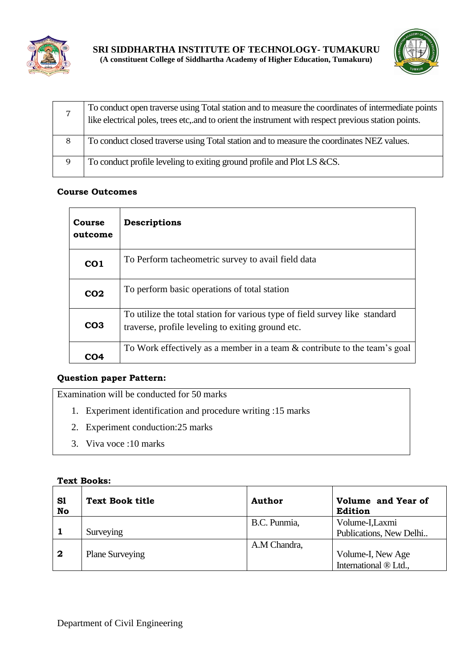



|   | To conduct open traverse using Total station and to measure the coordinates of intermediate points<br>like electrical poles, trees etc, and to orient the instrument with respect previous station points. |
|---|------------------------------------------------------------------------------------------------------------------------------------------------------------------------------------------------------------|
| 8 | To conduct closed traverse using Total station and to measure the coordinates NEZ values.                                                                                                                  |
| 9 | To conduct profile leveling to exiting ground profile and Plot LS &CS.                                                                                                                                     |

| <b>Course</b><br>outcome | Descriptions                                                                                                                     |
|--------------------------|----------------------------------------------------------------------------------------------------------------------------------|
| CO <sub>1</sub>          | To Perform tacheometric survey to avail field data                                                                               |
| CO <sub>2</sub>          | To perform basic operations of total station                                                                                     |
| CO <sub>3</sub>          | To utilize the total station for various type of field survey like standard<br>traverse, profile leveling to exiting ground etc. |
| CO4                      | To Work effectively as a member in a team & contribute to the team's goal                                                        |

# **Question paper Pattern:**

Examination will be conducted for 50 marks

- 1. Experiment identification and procedure writing :15 marks
- 2. Experiment conduction:25 marks
- 3. Viva voce :10 marks

## **Text Books:**

| S1<br>No         | <b>Text Book title</b> | <b>Author</b> | Volume and Year of<br>Edition |
|------------------|------------------------|---------------|-------------------------------|
|                  |                        | B.C. Punmia,  | Volume-I, Laxmi               |
|                  | Surveying              |               | Publications, New Delhi       |
|                  |                        | A.M Chandra,  |                               |
| $\boldsymbol{2}$ | <b>Plane Surveying</b> |               | Volume-I, New Age             |
|                  |                        |               | International ® Ltd.,         |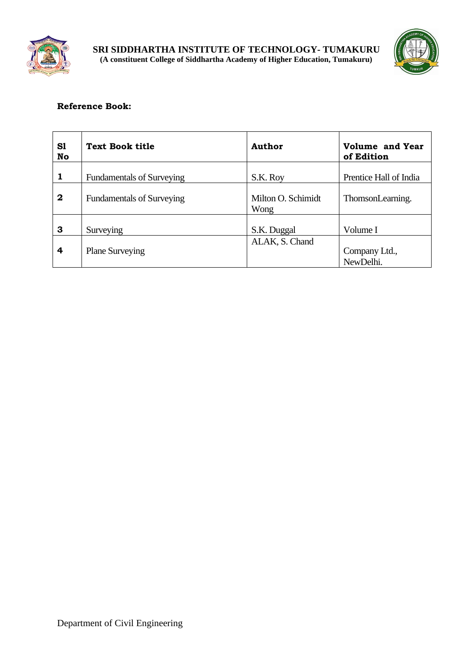



| S1<br>No     | <b>Text Book title</b>           | Author                     | <b>Volume and Year</b><br>of Edition |
|--------------|----------------------------------|----------------------------|--------------------------------------|
| $\mathbf{1}$ | <b>Fundamentals of Surveying</b> | S.K. Roy                   | Prentice Hall of India               |
| $\mathbf{2}$ | <b>Fundamentals of Surveying</b> | Milton O. Schimidt<br>Wong | ThomsonLearning.                     |
| 3            | Surveying                        | S.K. Duggal                | Volume I                             |
| 4            | <b>Plane Surveying</b>           | ALAK, S. Chand             | Company Ltd.,<br>NewDelhi.           |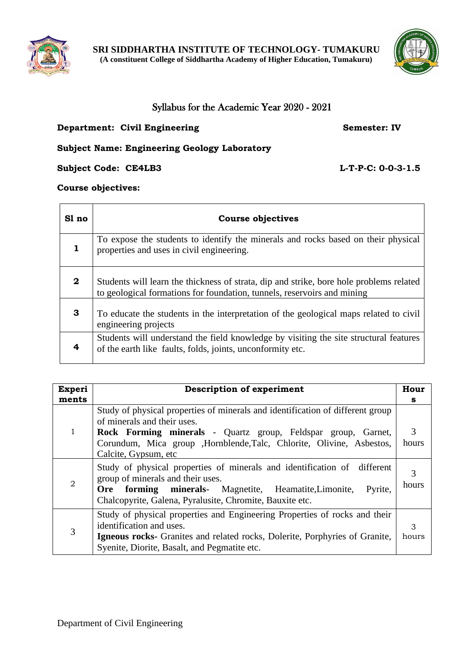



# Syllabus for the Academic Year 2020 - 2021

## **Department: Civil Engineering <b>Semester: IV** Semester: IV

## **Subject Name: Engineering Geology Laboratory**

**Subject Code: CE4LB3 L-T-P-C: 0-0-3-1.5**

**Course objectives:**

| Sl no        | <b>Course objectives</b>                                                                                                                                           |
|--------------|--------------------------------------------------------------------------------------------------------------------------------------------------------------------|
| 1            | To expose the students to identify the minerals and rocks based on their physical<br>properties and uses in civil engineering.                                     |
| $\mathbf{2}$ | Students will learn the thickness of strata, dip and strike, bore hole problems related<br>to geological formations for foundation, tunnels, reservoirs and mining |
| 3            | To educate the students in the interpretation of the geological maps related to civil<br>engineering projects                                                      |
| 4            | Students will understand the field knowledge by visiting the site structural features<br>of the earth like faults, folds, joints, unconformity etc.                |

| <b>Experi</b> | <b>Description of experiment</b>                                                                                                                                                                                                              |       |  |
|---------------|-----------------------------------------------------------------------------------------------------------------------------------------------------------------------------------------------------------------------------------------------|-------|--|
| ments         |                                                                                                                                                                                                                                               | s     |  |
|               | Study of physical properties of minerals and identification of different group<br>of minerals and their uses.                                                                                                                                 |       |  |
|               | Rock Forming minerals - Quartz group, Feldspar group, Garnet,                                                                                                                                                                                 | 3     |  |
|               | Corundum, Mica group , Hornblende, Talc, Chlorite, Olivine, Asbestos,<br>Calcite, Gypsum, etc.                                                                                                                                                | hours |  |
| 2             | Study of physical properties of minerals and identification of different<br>group of minerals and their uses.<br>Ore forming minerals- Magnetite, Heamatite, Limonite,<br>Pyrite,<br>Chalcopyrite, Galena, Pyralusite, Chromite, Bauxite etc. |       |  |
| 3             | Study of physical properties and Engineering Properties of rocks and their<br>identification and uses.<br><b>Igneous rocks-</b> Granites and related rocks, Dolerite, Porphyries of Granite,<br>Syenite, Diorite, Basalt, and Pegmatite etc.  |       |  |